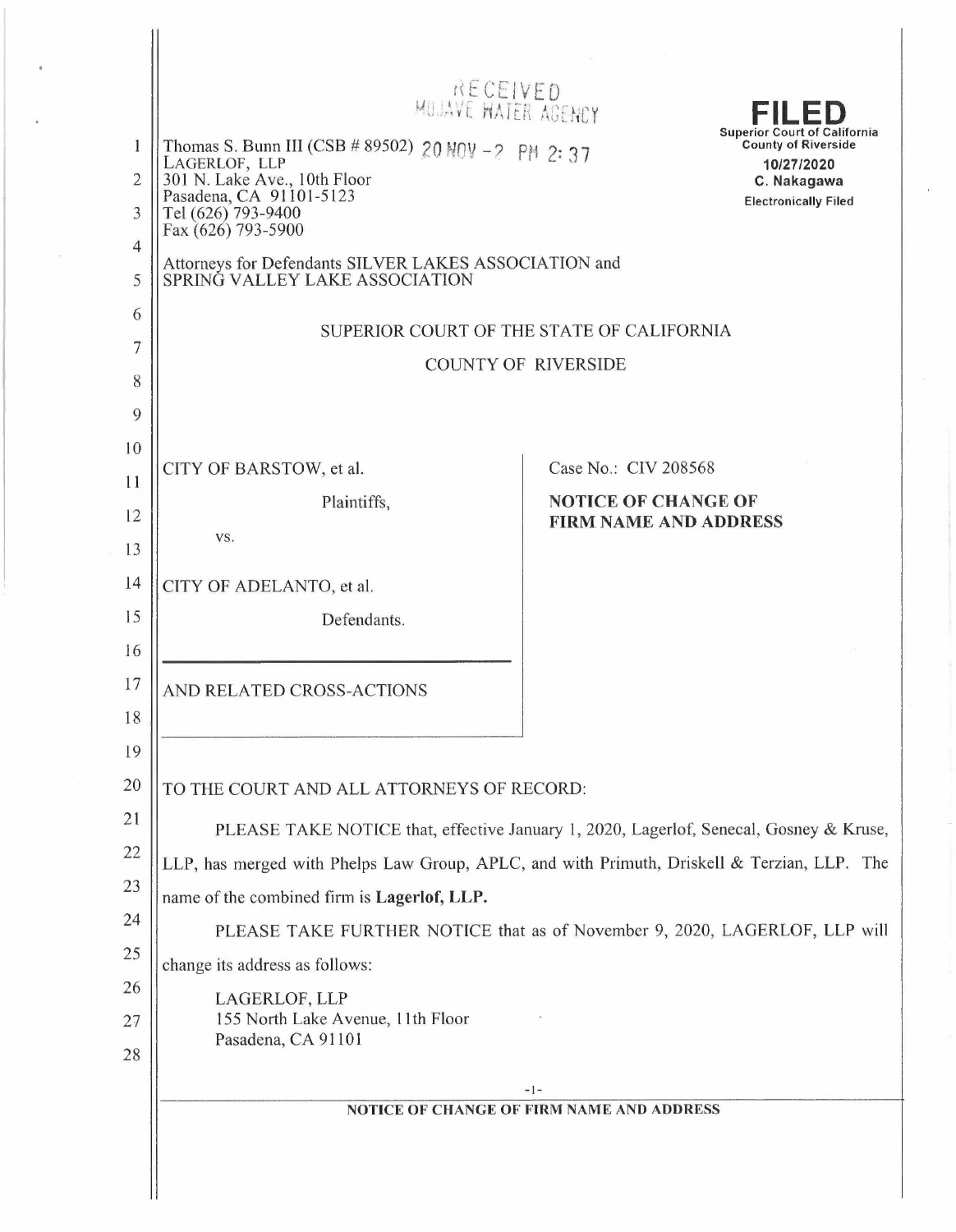|                                                          | RECEIVED<br>MUJAVE HATER AGENCY                                                                                                                                             | FILED                                                                                                                                                                                                                                                                                                                     |  |  |
|----------------------------------------------------------|-----------------------------------------------------------------------------------------------------------------------------------------------------------------------------|---------------------------------------------------------------------------------------------------------------------------------------------------------------------------------------------------------------------------------------------------------------------------------------------------------------------------|--|--|
| 1<br>$\overline{2}$<br>3                                 | Thomas S. Bunn III (CSB # 89502) 20 NOV -2 PM 2: 37<br>LAGERLOF, LLP<br>301 N. Lake Ave., 10th Floor<br>Pasadena, CA 91101-5123<br>Tel (626) 793-9400<br>Fax (626) 793-5900 | <b>Superior Court of California</b><br><b>County of Riverside</b><br>10/27/2020<br>C. Nakagawa<br><b>Electronically Filed</b>                                                                                                                                                                                             |  |  |
| 4<br>5                                                   | Attorneys for Defendants SILVER LAKES ASSOCIATION and<br>SPRINĞ VALLEY LAKE ASSOCIATION                                                                                     |                                                                                                                                                                                                                                                                                                                           |  |  |
| 6<br>7<br>8<br>$\overline{Q}$                            | SUPERIOR COURT OF THE STATE OF CALIFORNIA<br><b>COUNTY OF RIVERSIDE</b>                                                                                                     |                                                                                                                                                                                                                                                                                                                           |  |  |
| 10<br>11<br>12<br>13<br>14<br>15<br>16                   | CITY OF BARSTOW, et al.<br>Plaintiffs,<br>VS.<br>CITY OF ADELANTO, et al.<br>Defendants.                                                                                    | Case No.: CIV 208568<br><b>NOTICE OF CHANGE OF</b><br><b>FIRM NAME AND ADDRESS</b>                                                                                                                                                                                                                                        |  |  |
| 17<br>18                                                 | AND RELATED CROSS-ACTIONS                                                                                                                                                   |                                                                                                                                                                                                                                                                                                                           |  |  |
| 19<br>20<br>21<br>22<br>23<br>24<br>25<br>26<br>27<br>28 | name of the combined firm is Lagerlof, LLP.<br>change its address as follows:<br>LAGERLOF, LLP<br>155 North Lake Avenue, 11th Floor<br>Pasadena, CA 91101                   | TO THE COURT AND ALL ATTORNEYS OF RECORD:<br>PLEASE TAKE NOTICE that, effective January 1, 2020, Lagerlof, Senecal, Gosney & Kruse,<br>LLP, has merged with Phelps Law Group, APLC, and with Primuth, Driskell & Terzian, LLP. The<br>PLEASE TAKE FURTHER NOTICE that as of November 9, 2020, LAGERLOF, LLP will<br>$-1-$ |  |  |
|                                                          |                                                                                                                                                                             | NOTICE OF CHANGE OF FIRM NAME AND ADDRESS                                                                                                                                                                                                                                                                                 |  |  |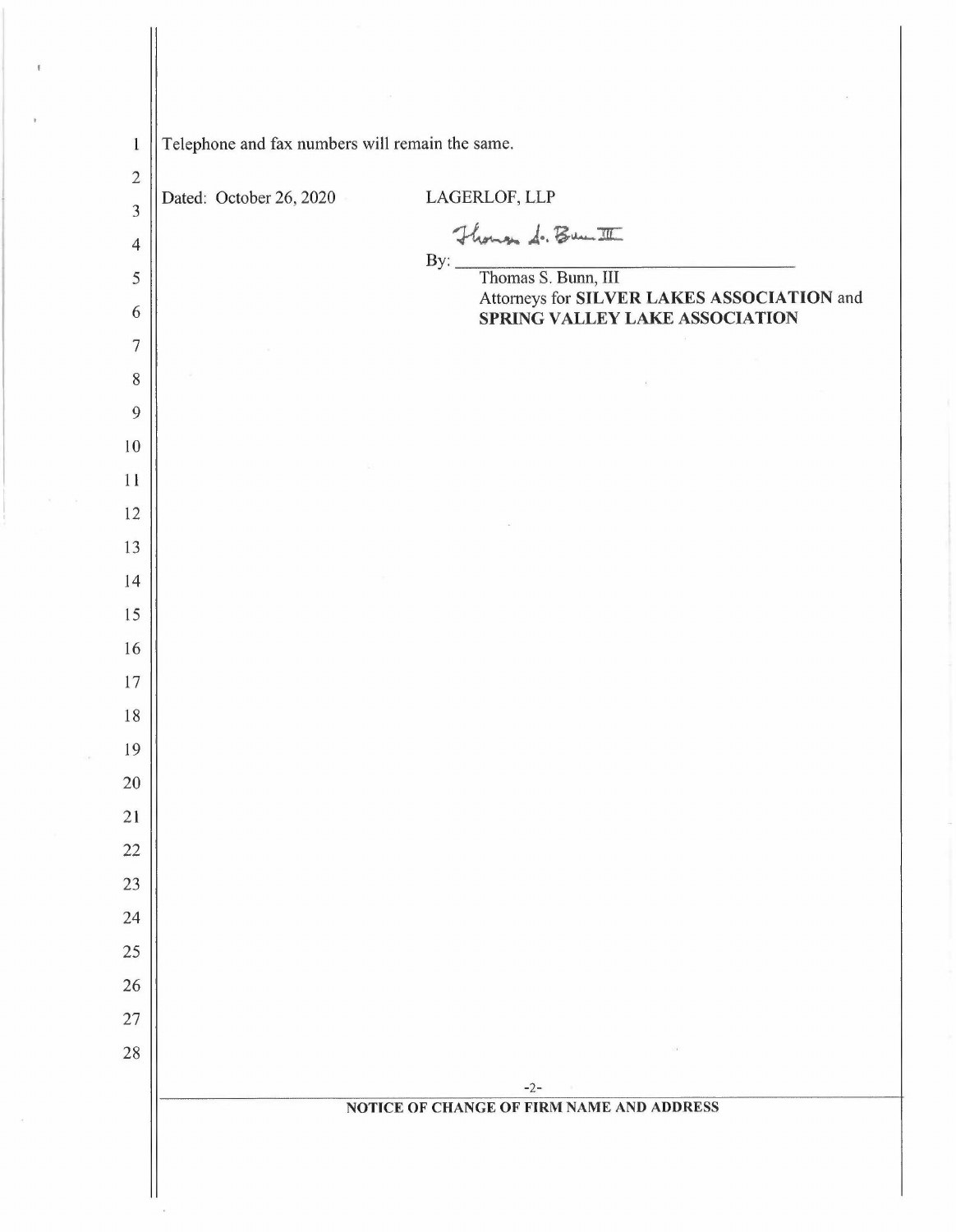| $\mathbf{1}$        | Telephone and fax numbers will remain the same.  |                                            |  |
|---------------------|--------------------------------------------------|--------------------------------------------|--|
| $\overline{2}$      | Dated: October 26, 2020                          | LAGERLOF, LLP                              |  |
| $\overline{3}$      |                                                  |                                            |  |
| $\overline{4}$<br>5 |                                                  | Flower d. Bunt                             |  |
| 6                   |                                                  | Attorneys for SILVER LAKES ASSOCIATION and |  |
| $\overline{7}$      |                                                  | SPRING VALLEY LAKE ASSOCIATION             |  |
| $8\,$               |                                                  |                                            |  |
| $\overline{9}$      |                                                  |                                            |  |
| 10                  |                                                  |                                            |  |
| 11                  |                                                  |                                            |  |
| 12                  |                                                  |                                            |  |
| 13                  |                                                  |                                            |  |
| 14                  |                                                  |                                            |  |
| 15                  |                                                  |                                            |  |
| 16                  |                                                  |                                            |  |
| 17                  |                                                  |                                            |  |
| 18                  |                                                  |                                            |  |
| 19                  |                                                  |                                            |  |
| $20\,$              |                                                  |                                            |  |
| 21                  |                                                  |                                            |  |
| $22\,$              |                                                  |                                            |  |
| 23<br>24            |                                                  |                                            |  |
| 25                  |                                                  |                                            |  |
| 26                  |                                                  |                                            |  |
| 27                  |                                                  |                                            |  |
| 28                  |                                                  |                                            |  |
|                     |                                                  | $-2-$                                      |  |
|                     | <b>NOTICE OF CHANGE OF FIRM NAME AND ADDRESS</b> |                                            |  |
|                     |                                                  |                                            |  |

 $\sim 10$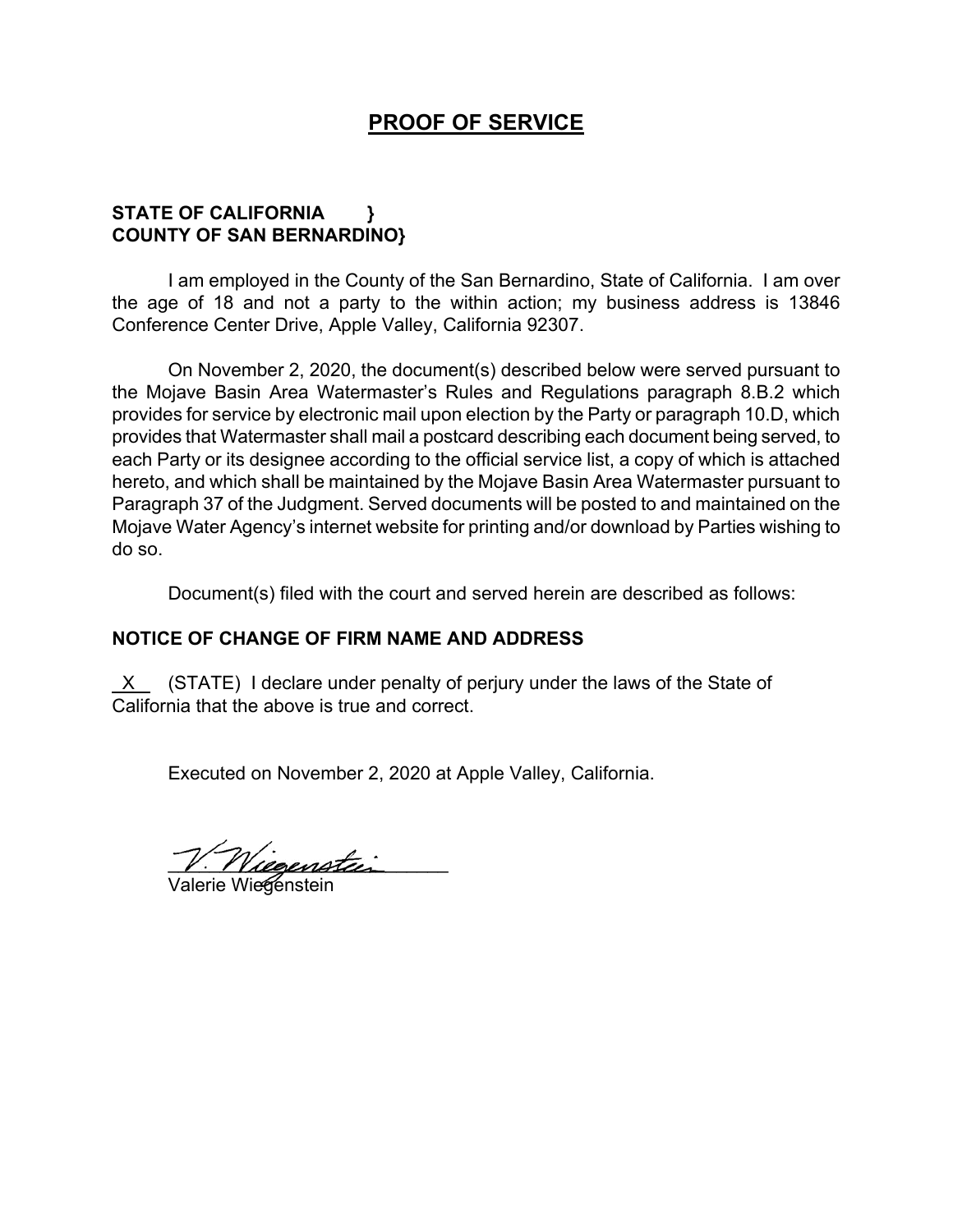## **PROOF OF SERVICE**

## **STATE OF CALIFORNIA } COUNTY OF SAN BERNARDINO}**

I am employed in the County of the San Bernardino, State of California. I am over the age of 18 and not a party to the within action; my business address is 13846 Conference Center Drive, Apple Valley, California 92307.

On November 2, 2020, the document(s) described below were served pursuant to the Mojave Basin Area Watermaster's Rules and Regulations paragraph 8.B.2 which provides for service by electronic mail upon election by the Party or paragraph 10.D, which provides that Watermaster shall mail a postcard describing each document being served, to each Party or its designee according to the official service list, a copy of which is attached hereto, and which shall be maintained by the Mojave Basin Area Watermaster pursuant to Paragraph 37 of the Judgment. Served documents will be posted to and maintained on the Mojave Water Agency's internet website for printing and/or download by Parties wishing to do so.

Document(s) filed with the court and served herein are described as follows:

## **NOTICE OF CHANGE OF FIRM NAME AND ADDRESS**

 X (STATE) I declare under penalty of perjury under the laws of the State of California that the above is true and correct.

Executed on November 2, 2020 at Apple Valley, California.

 $V.$  Niegenstein

Valerie Wiegenstein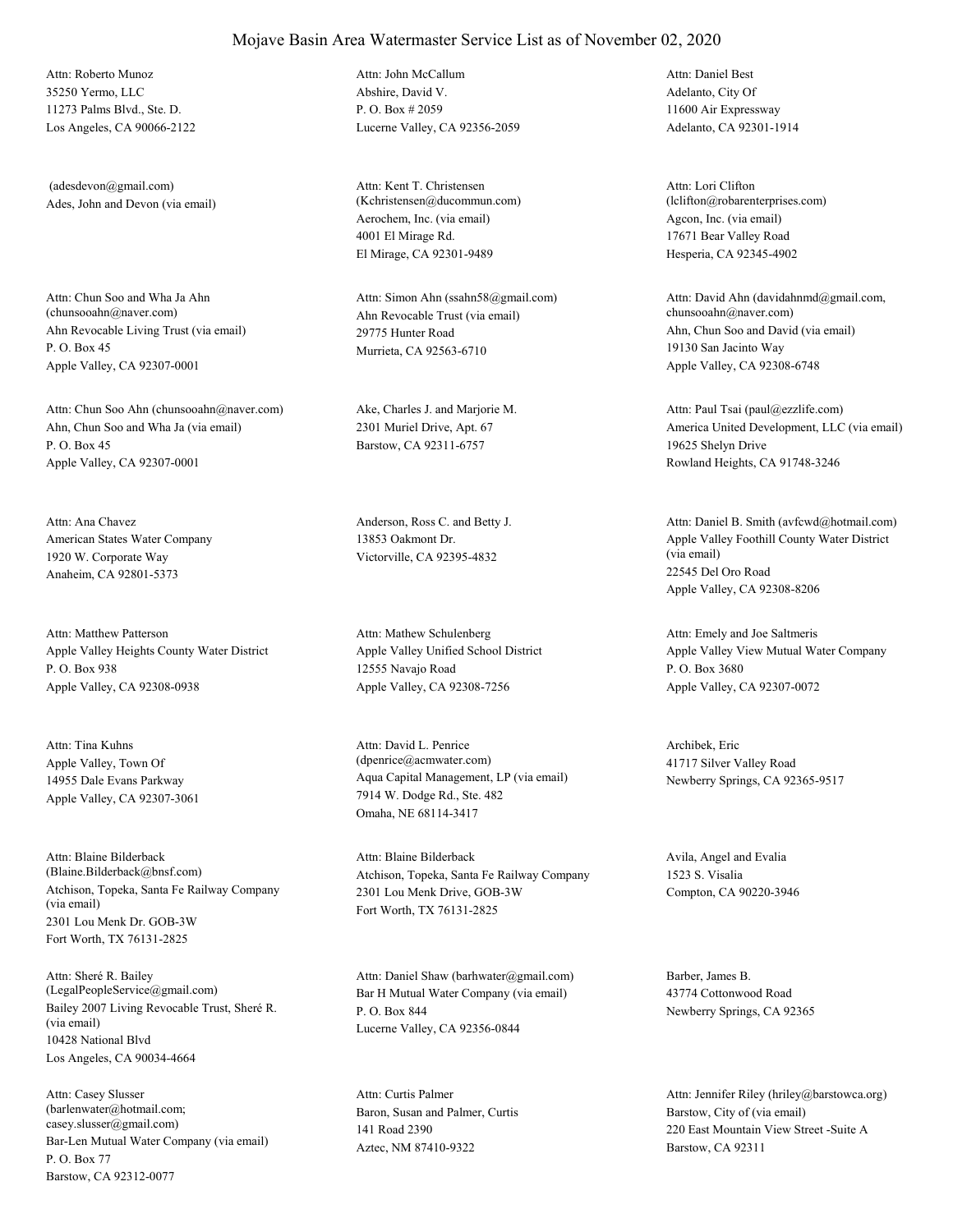35250 Yermo, LLC 11273 Palms Blvd., Ste. D. Los Angeles, CA 90066-2122 Attn: Roberto Munoz

Ades, John and Devon (via email) (adesdevon@gmail.com)

Ahn Revocable Living Trust (via email) P. O. Box 45 Apple Valley, CA 92307-0001 Attn: Chun Soo and Wha Ja Ahn<br>(chunsooahn@naver.com)

Ahn, Chun Soo and Wha Ja (via email) P. O. Box 45 Apple Valley, CA 92307-0001 Attn: Chun Soo Ahn (chunsooahn@naver.com) Ake, Charles J. and Marjorie M.

American States Water Company 1920 W. Corporate Way Anaheim, CA 92801-5373 Attn: Ana Chavez **Anderson, Ross C.** and Betty J.

Apple Valley Heights County Water District P. O. Box 938 Apple Valley, CA 92308-0938 Attn: Matthew Patterson

Apple Valley, Town Of 14955 Dale Evans Parkway Apple Valley, CA 92307-3061 Attn: Tina Kuhns

Atchison, Topeka, Santa Fe Railway Company (via email) 2301 Lou Menk Dr. GOB-3W Fort Worth, TX 76131-2825 Attn: Blaine Bilderback

Bailey 2007 Living Revocable Trust, Sheré R. (via email) 10428 National Blvd Los Angeles, CA 90034-4664 Attn: Sheré R. Bailey<br>(LegalPeopleService@gmail.com)

Bar-Len Mutual Water Company (via email) P. O. Box 77 Barstow, CA 92312-0077 Attn: Casey Slusser (barlenwater@hotmail.com; casey.slusser@gmail.com)

Abshire, David V. P. O. Box # 2059 Lucerne Valley, CA 92356-2059 Attn: John McCallum

Aerochem, Inc. (via email) 4001 El Mirage Rd. El Mirage, CA 92301-9489 Attn: Kent T. Christensen (Kchristensen@ducommun.com)

Ahn Revocable Trust (via email) 29775 Hunter Road Murrieta, CA 92563-6710 Attn: Simon Ahn (ssahn58@gmail.com)

2301 Muriel Drive, Apt. 67 Barstow, CA 92311-6757

13853 Oakmont Dr. Victorville, CA 92395-4832

Apple Valley Unified School District 12555 Navajo Road Apple Valley, CA 92308-7256 Attn: Mathew Schulenberg

Aqua Capital Management, LP (via email) 7914 W. Dodge Rd., Ste. 482 Omaha, NE 68114-3417 Attn: David L. Penrice (dpenrice@acmwater.com)

(Blaine.Bilderback@bnsf.com) Atchison, Topeka, Santa Fe Railway Company 2301 Lou Menk Drive, GOB-3W Fort Worth, TX 76131-2825 Attn: Blaine Bilderback Avila, Angel and Evalia

> Bar H Mutual Water Company (via email) P. O. Box 844 Lucerne Valley, CA 92356-0844 Attn: Daniel Shaw (barhwater@gmail.com) Barber, James B.

Baron, Susan and Palmer, Curtis 141 Road 2390 Aztec, NM 87410-9322 Attn: Curtis Palmer

Adelanto, City Of 11600 Air Expressway Adelanto, CA 92301-1914 Attn: Daniel Best

Agcon, Inc. (via email) 17671 Bear Valley Road Hesperia, CA 92345-4902 Attn: Lori Clifton (lclifton@robarenterprises.com)

Ahn, Chun Soo and David (via email) 19130 San Jacinto Way Apple Valley, CA 92308-6748 Attn: David Ahn (davidahnmd@gmail.com, chunsooahn@naver.com)

America United Development, LLC (via email) 19625 Shelyn Drive Rowland Heights, CA 91748-3246 Attn: Paul Tsai (paul@ezzlife.com)

Apple Valley Foothill County Water District (via email) 22545 Del Oro Road Apple Valley, CA 92308-8206 Attn: Daniel B. Smith (avfcwd@hotmail.com)

Apple Valley View Mutual Water Company P. O. Box 3680 Apple Valley, CA 92307-0072 Attn: Emely and Joe Saltmeris

Archibek, Eric 41717 Silver Valley Road Newberry Springs, CA 92365-9517

1523 S. Visalia Compton, CA 90220-3946

43774 Cottonwood Road Newberry Springs, CA 92365

Barstow, City of (via email) 220 East Mountain View Street -Suite A Barstow, CA 92311 Attn: Jennifer Riley (hriley@barstowca.org)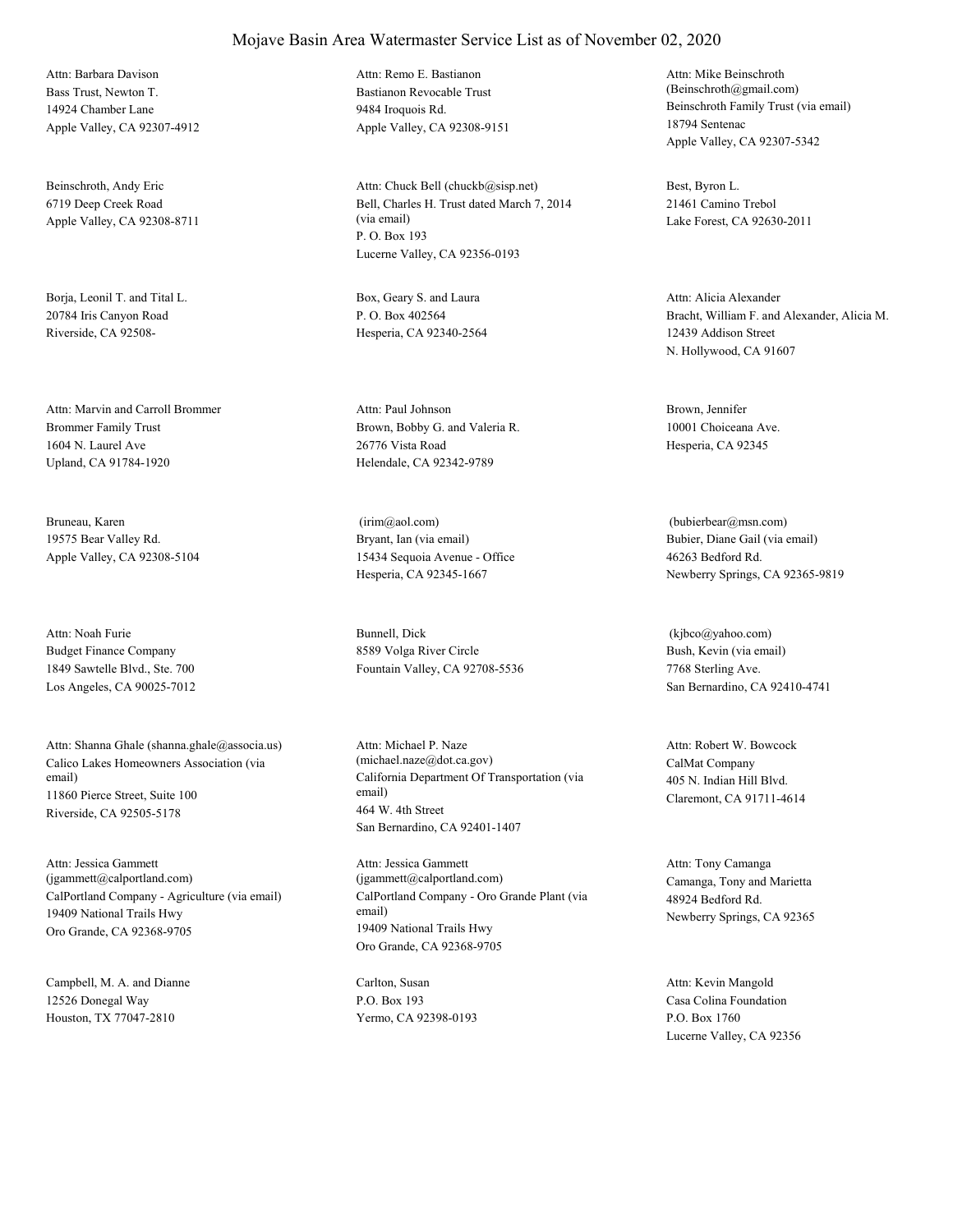Bass Trust, Newton T. 14924 Chamber Lane Apple Valley, CA 92307-4912 Attn: Barbara Davison

Beinschroth, Andy Eric 6719 Deep Creek Road Apple Valley, CA 92308-8711

Borja, Leonil T. and Tital L. 20784 Iris Canyon Road Riverside, CA 92508-

Brommer Family Trust 1604 N. Laurel Ave Upland, CA 91784-1920 Attn: Marvin and Carroll Brommer

Bruneau, Karen 19575 Bear Valley Rd. Apple Valley, CA 92308-5104

Budget Finance Company 1849 Sawtelle Blvd., Ste. 700 Los Angeles, CA 90025-7012 Attn: Noah Furie Bunnell, Dick

Calico Lakes Homeowners Association (via email) 11860 Pierce Street, Suite 100 Riverside, CA 92505-5178 Attn: Shanna Ghale (shanna.ghale@associa.us)

CalPortland Company - Agriculture (via email) 19409 National Trails Hwy Oro Grande, CA 92368-9705 Attn: Jessica Gammett (jgammett@calportland.com)

Campbell, M. A. and Dianne 12526 Donegal Way Houston, TX 77047-2810

Bastianon Revocable Trust 9484 Iroquois Rd. Apple Valley, CA 92308-9151 Attn: Remo E. Bastianon

Bell, Charles H. Trust dated March 7, 2014 (via email) P. O. Box 193 Lucerne Valley, CA 92356-0193 Attn: Chuck Bell (chuckb@sisp.net) Best, Byron L.

Box, Geary S. and Laura P. O. Box 402564 Hesperia, CA 92340-2564

Brown, Bobby G. and Valeria R. 26776 Vista Road Helendale, CA 92342-9789 Attn: Paul Johnson Brown, Jennifer

Bryant, Ian (via email) 15434 Sequoia Avenue - Office Hesperia, CA 92345-1667 (irim@aol.com)

8589 Volga River Circle Fountain Valley, CA 92708-5536

California Department Of Transportation (via email) 464 W. 4th Street San Bernardino, CA 92401-1407 Attn: Michael P. Naze (michael.naze@dot.ca.gov) CalMat Company

CalPortland Company - Oro Grande Plant (via email) 19409 National Trails Hwy Oro Grande, CA 92368-9705 Attn: Jessica Gammett (jgammett@calportland.com) Camanga, Tony and Marietta

Carlton, Susan P.O. Box 193 Yermo, CA 92398-0193 Beinschroth Family Trust (via email) 18794 Sentenac Apple Valley, CA 92307-5342 Attn: Mike Beinschroth (Beinschroth@gmail.com)

21461 Camino Trebol Lake Forest, CA 92630-2011

Bracht, William F. and Alexander, Alicia M. 12439 Addison Street N. Hollywood, CA 91607 Attn: Alicia Alexander

10001 Choiceana Ave. Hesperia, CA 92345

Bubier, Diane Gail (via email) 46263 Bedford Rd. Newberry Springs, CA 92365-9819 (bubierbear@msn.com)

Bush, Kevin (via email) 7768 Sterling Ave. San Bernardino, CA 92410-4741 (kjbco@yahoo.com)

405 N. Indian Hill Blvd. Claremont, CA 91711-4614 Attn: Robert W. Bowcock

48924 Bedford Rd. Newberry Springs, CA 92365 Attn: Tony Camanga

Casa Colina Foundation P.O. Box 1760 Lucerne Valley, CA 92356 Attn: Kevin Mangold

### Mojave Basin Area Watermaster Service List as of November 02, 2020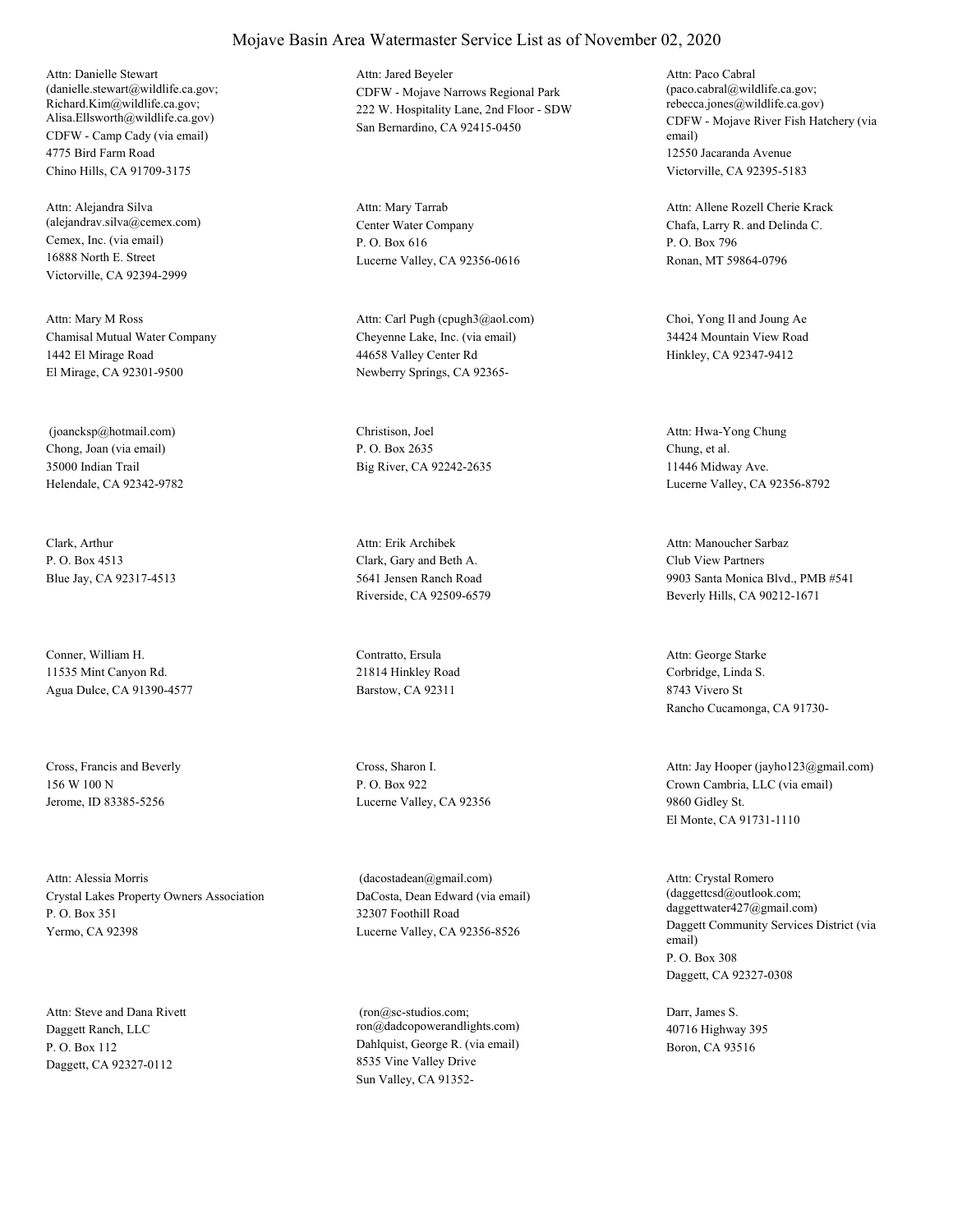CDFW - Camp Cady (via email) 4775 Bird Farm Road Chino Hills, CA 91709-3175 Attn: Danielle Stewart (danielle.stewart@wildlife.ca.gov; Richard.Kim@wildlife.ca.gov; Alisa.Ellsworth@wildlife.ca.gov)

Cemex, Inc. (via email) 16888 North E. Street Victorville, CA 92394-2999 Attn: Alejandra Silva (alejandrav.silva@cemex.com) Center Water Company

Chamisal Mutual Water Company 1442 El Mirage Road El Mirage, CA 92301-9500 Attn: Mary M Ross

Chong, Joan (via email) 35000 Indian Trail Helendale, CA 92342-9782 (joancksp@hotmail.com) Christison, Joel

Clark, Arthur P. O. Box 4513 Blue Jay, CA 92317-4513

Conner, William H. 11535 Mint Canyon Rd. Agua Dulce, CA 91390-4577

Cross, Francis and Beverly 156 W 100 N Jerome, ID 83385-5256

Crystal Lakes Property Owners Association P. O. Box 351 Yermo, CA 92398 Attn: Alessia Morris

Daggett Ranch, LLC P. O. Box 112 Daggett, CA 92327-0112 Attn: Steve and Dana Rivett CDFW - Mojave Narrows Regional Park 222 W. Hospitality Lane, 2nd Floor - SDW San Bernardino, CA 92415-0450 Attn: Jared Beyeler

P. O. Box 616 Lucerne Valley, CA 92356-0616 Attn: Mary Tarrab

Cheyenne Lake, Inc. (via email) 44658 Valley Center Rd Newberry Springs, CA 92365- Attn: Carl Pugh (cpugh3@aol.com) Choi, Yong Il and Joung Ae

P. O. Box 2635 Big River, CA 92242-2635

Clark, Gary and Beth A. 5641 Jensen Ranch Road Riverside, CA 92509-6579 Attn: Erik Archibek

Contratto, Ersula 21814 Hinkley Road Barstow, CA 92311

Cross, Sharon I. P. O. Box 922 Lucerne Valley, CA 92356

DaCosta, Dean Edward (via email) 32307 Foothill Road Lucerne Valley, CA 92356-8526 (dacostadean@gmail.com)

Dahlquist, George R. (via email) 8535 Vine Valley Drive Sun Valley, CA 91352- (ron@sc-studios.com; ron@dadcopowerandlights.com) CDFW - Mojave River Fish Hatchery (via email) 12550 Jacaranda Avenue Victorville, CA 92395-5183 Attn: Paco Cabral (paco.cabral@wildlife.ca.gov; rebecca.jones@wildlife.ca.gov)

Chafa, Larry R. and Delinda C. P. O. Box 796 Ronan, MT 59864-0796 Attn: Allene Rozell Cherie Krack

34424 Mountain View Road Hinkley, CA 92347-9412

Chung, et al. 11446 Midway Ave. Lucerne Valley, CA 92356-8792 Attn: Hwa-Yong Chung

Club View Partners 9903 Santa Monica Blvd., PMB #541 Beverly Hills, CA 90212-1671 Attn: Manoucher Sarbaz

Corbridge, Linda S. 8743 Vivero St Rancho Cucamonga, CA 91730- Attn: George Starke

Crown Cambria, LLC (via email) 9860 Gidley St. El Monte, CA 91731-1110 Attn: Jay Hooper (jayho123@gmail.com)

Daggett Community Services District (via email) P. O. Box 308 Daggett, CA 92327-0308 Attn: Crystal Romero (daggettcsd@outlook.com; daggettwater427@gmail.com)

Darr, James S. 40716 Highway 395 Boron, CA 93516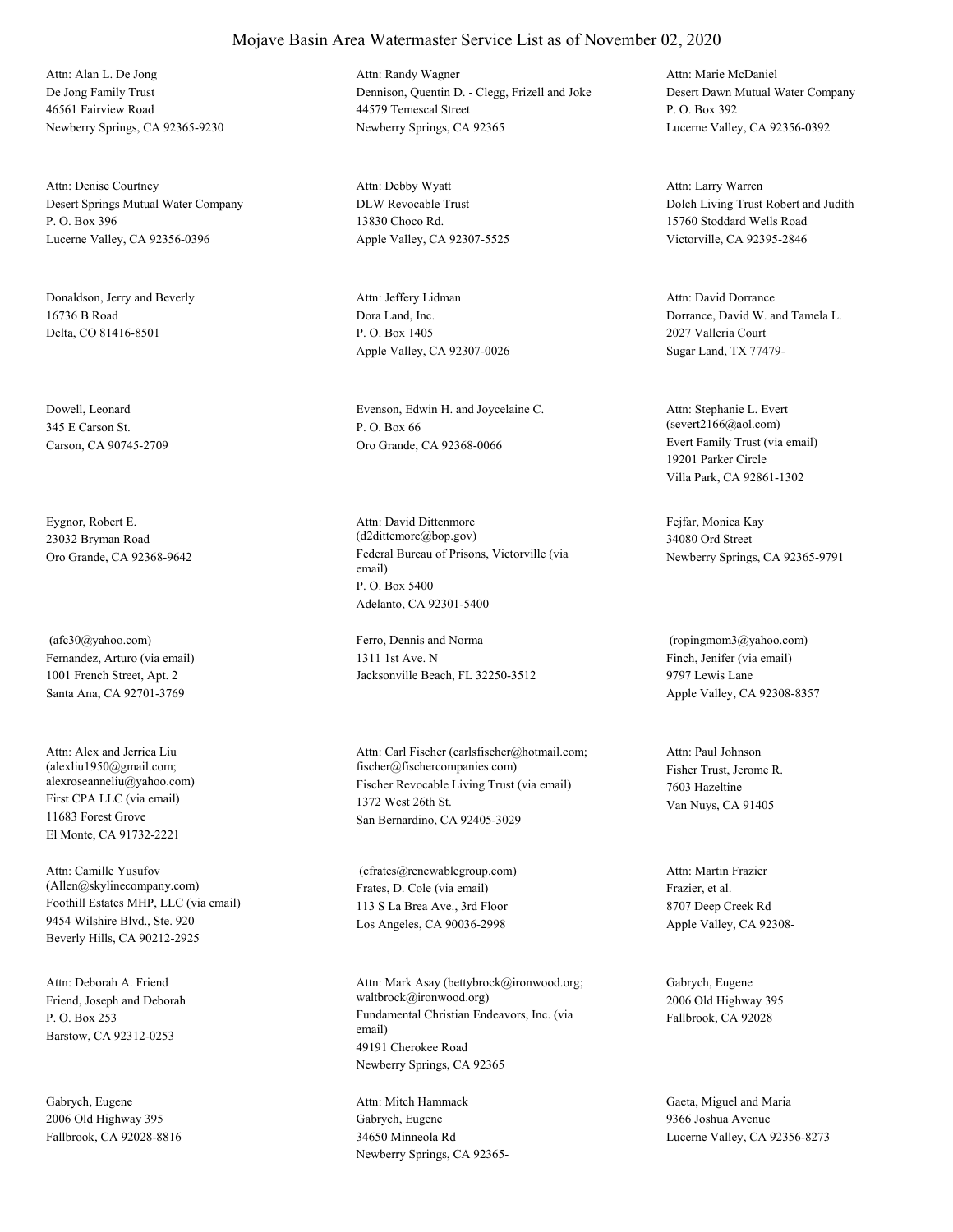De Jong Family Trust 46561 Fairview Road Newberry Springs, CA 92365-9230 Attn: Alan L. De Jong

Desert Springs Mutual Water Company P. O. Box 396 Lucerne Valley, CA 92356-0396 Attn: Denise Courtney

Donaldson, Jerry and Beverly 16736 B Road Delta, CO 81416-8501

Dowell, Leonard 345 E Carson St. Carson, CA 90745-2709

Eygnor, Robert E. 23032 Bryman Road

Fernandez, Arturo (via email) 1001 French Street, Apt. 2 Santa Ana, CA 92701-3769 (afc30@yahoo.com) Ferro, Dennis and Norma

First CPA LLC (via email) 11683 Forest Grove El Monte, CA 91732-2221 Attn: Alex and Jerrica Liu (alexliu1950@gmail.com;

Foothill Estates MHP, LLC (via email) 9454 Wilshire Blvd., Ste. 920 Beverly Hills, CA 90212-2925 Attn: Camille Yusufov (Allen@skylinecompany.com) Frates, D. Cole (via email)

Friend, Joseph and Deborah P. O. Box 253 Barstow, CA 92312-0253 Attn: Deborah A. Friend

Gabrych, Eugene 2006 Old Highway 395 Fallbrook, CA 92028-8816 Dennison, Quentin D. - Clegg, Frizell and Joke 44579 Temescal Street Newberry Springs, CA 92365 Attn: Randy Wagner

DLW Revocable Trust 13830 Choco Rd. Apple Valley, CA 92307-5525 Attn: Debby Wyatt

Dora Land, Inc. P. O. Box 1405 Apple Valley, CA 92307-0026 Attn: Jeffery Lidman

Evenson, Edwin H. and Joycelaine C. P. O. Box 66 Oro Grande, CA 92368-0066 Evert Family Trust (via email)

Oro Grande, CA 92368-9642 Federal Bureau of Prisons, Victorville (via email) P. O. Box 5400 Adelanto, CA 92301-5400 Attn: David Dittenmore (d2dittemore@bop.gov)

> 1311 1st Ave. N Jacksonville Beach, FL 32250-3512

alexroseanneliu@yahoo.com) Fischer Revocable Living Trust (via email) 1372 West 26th St. San Bernardino, CA 92405-3029 Attn: Carl Fischer (carlsfischer@hotmail.com; fischer@fischercompanies.com) Fisher Trust, Jerome R.

> 113 S La Brea Ave., 3rd Floor Los Angeles, CA 90036-2998 (cfrates@renewablegroup.com)

Fundamental Christian Endeavors, Inc. (via email) 49191 Cherokee Road Newberry Springs, CA 92365 Attn: Mark Asay (bettybrock@ironwood.org; waltbrock@ironwood.org)

Gabrych, Eugene 34650 Minneola Rd Newberry Springs, CA 92365Desert Dawn Mutual Water Company P. O. Box 392 Lucerne Valley, CA 92356-0392 Attn: Marie McDaniel

Dolch Living Trust Robert and Judith 15760 Stoddard Wells Road Victorville, CA 92395-2846 Attn: Larry Warren

Dorrance, David W. and Tamela L. 2027 Valleria Court Sugar Land, TX 77479- Attn: David Dorrance

19201 Parker Circle Villa Park, CA 92861-1302 Attn: Stephanie L. Evert (severt2166@aol.com)

Fejfar, Monica Kay 34080 Ord Street Newberry Springs, CA 92365-9791

Finch, Jenifer (via email) 9797 Lewis Lane Apple Valley, CA 92308-8357 (ropingmom3@yahoo.com)

7603 Hazeltine Van Nuys, CA 91405 Attn: Paul Johnson

Frazier, et al. 8707 Deep Creek Rd Apple Valley, CA 92308- Attn: Martin Frazier

Gabrych, Eugene 2006 Old Highway 395 Fallbrook, CA 92028

Attn: Mitch Hammack Gaeta, Miguel and Maria 9366 Joshua Avenue Lucerne Valley, CA 92356-8273

#### Mojave Basin Area Watermaster Service List as of November 02, 2020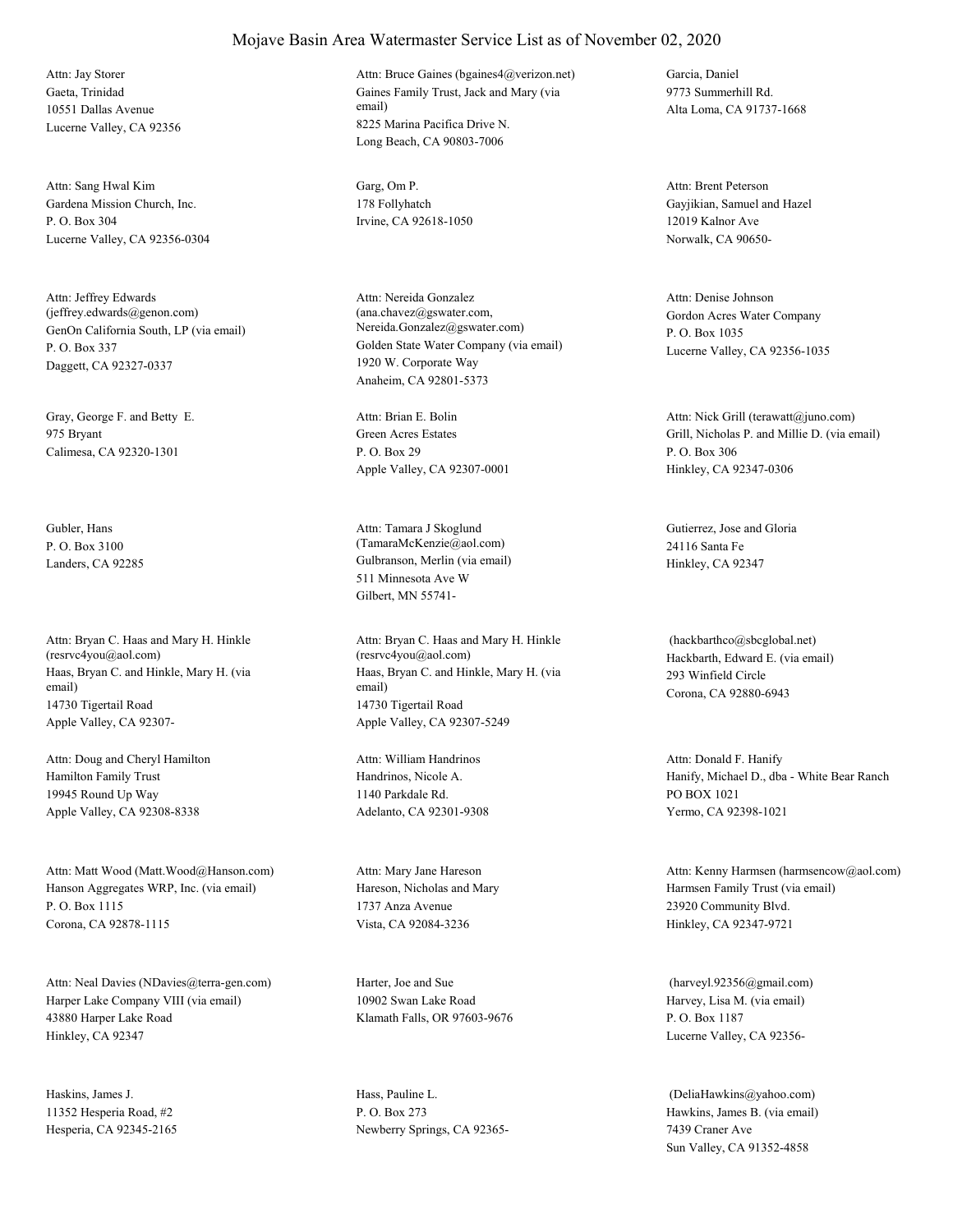Gaeta, Trinidad 10551 Dallas Avenue Lucerne Valley, CA 92356 Attn: Jay Storer

Gardena Mission Church, Inc. P. O. Box 304 Lucerne Valley, CA 92356-0304 Attn: Sang Hwal Kim Garg, Om P.

GenOn California South, LP (via email) P. O. Box 337 Daggett, CA 92327-0337 Attn: Jeffrey Edwards (jeffrey.edwards@genon.com)

Gray, George F. and Betty E. 975 Bryant Calimesa, CA 92320-1301

Gubler, Hans P. O. Box 3100

Haas, Bryan C. and Hinkle, Mary H. (via email) 14730 Tigertail Road Apple Valley, CA 92307- Attn: Bryan C. Haas and Mary H. Hinkle (resrvc4you@aol.com)

Hamilton Family Trust 19945 Round Up Way Apple Valley, CA 92308-8338 Attn: Doug and Cheryl Hamilton

Hanson Aggregates WRP, Inc. (via email) P. O. Box 1115 Corona, CA 92878-1115 Attn: Matt Wood (Matt.Wood@Hanson.com)

Harper Lake Company VIII (via email) 43880 Harper Lake Road Hinkley, CA 92347 Attn: Neal Davies (NDavies@terra-gen.com) Harter, Joe and Sue

Haskins, James J. 11352 Hesperia Road, #2 Hesperia, CA 92345-2165 Gaines Family Trust, Jack and Mary (via email) 8225 Marina Pacifica Drive N. Long Beach, CA 90803-7006 Attn: Bruce Gaines (bgaines4@verizon.net) Garcia, Daniel

178 Follyhatch Irvine, CA 92618-1050

Golden State Water Company (via email) 1920 W. Corporate Way Anaheim, CA 92801-5373 Attn: Nereida Gonzalez (ana.chavez@gswater.com, Nereida.Gonzalez@gswater.com)

Green Acres Estates P. O. Box 29 Apple Valley, CA 92307-0001 Attn: Brian E. Bolin

Landers, CA 92285 Gulbranson, Merlin (via email) 511 Minnesota Ave W Gilbert, MN 55741- Attn: Tamara J Skoglund (TamaraMcKenzie@aol.com)

> Haas, Bryan C. and Hinkle, Mary H. (via email) 14730 Tigertail Road Apple Valley, CA 92307-5249 Attn: Bryan C. Haas and Mary H. Hinkle (resrvc4you@aol.com) Hackbarth, Edward E. (via email)

Handrinos, Nicole A. 1140 Parkdale Rd. Adelanto, CA 92301-9308 Attn: William Handrinos

Hareson, Nicholas and Mary 1737 Anza Avenue Vista, CA 92084-3236 Attn: Mary Jane Hareson

10902 Swan Lake Road Klamath Falls, OR 97603-9676

Hass, Pauline L. P. O. Box 273 Newberry Springs, CA 923659773 Summerhill Rd. Alta Loma, CA 91737-1668

Gayjikian, Samuel and Hazel 12019 Kalnor Ave Norwalk, CA 90650- Attn: Brent Peterson

Gordon Acres Water Company P. O. Box 1035 Lucerne Valley, CA 92356-1035 Attn: Denise Johnson

Grill, Nicholas P. and Millie D. (via email) P. O. Box 306 Hinkley, CA 92347-0306 Attn: Nick Grill (terawatt@juno.com)

Gutierrez, Jose and Gloria 24116 Santa Fe Hinkley, CA 92347

293 Winfield Circle Corona, CA 92880-6943 (hackbarthco@sbcglobal.net)

Hanify, Michael D., dba - White Bear Ranch PO BOX 1021 Yermo, CA 92398-1021 Attn: Donald F. Hanify

Harmsen Family Trust (via email) 23920 Community Blvd. Hinkley, CA 92347-9721 Attn: Kenny Harmsen (harmsencow@aol.com)

Harvey, Lisa M. (via email) P. O. Box 1187 Lucerne Valley, CA 92356- (harveyl.92356@gmail.com)

Hawkins, James B. (via email) 7439 Craner Ave Sun Valley, CA 91352-4858 (DeliaHawkins@yahoo.com)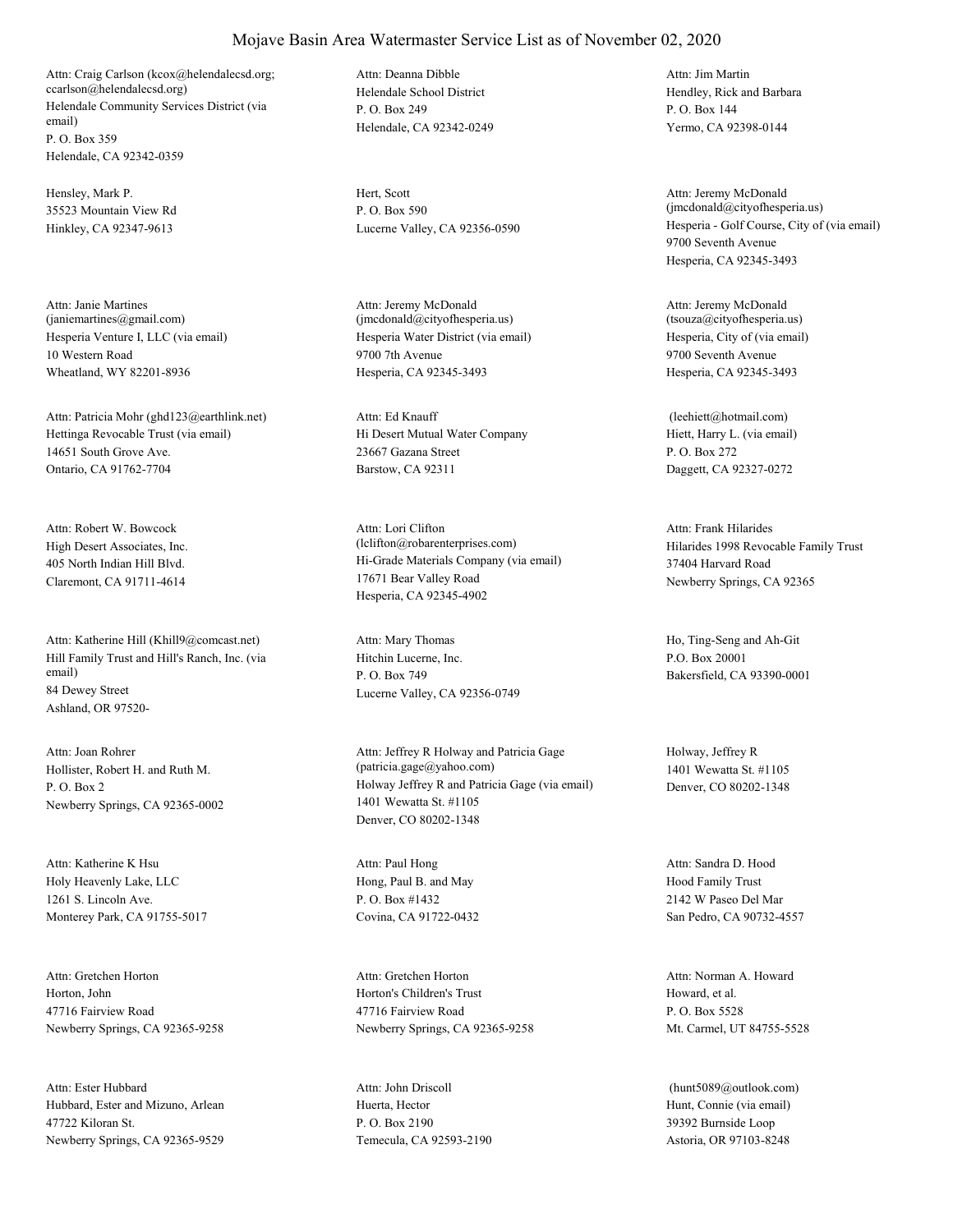Helendale Community Services District (via email) P. O. Box 359 Helendale, CA 92342-0359 Attn: Craig Carlson (kcox@helendalecsd.org; ccarlson@helendalecsd.org) Helendale School District

Hensley, Mark P. 35523 Mountain View Rd Hinkley, CA 92347-9613

Hesperia Venture I, LLC (via email) 10 Western Road Wheatland, WY 82201-8936 Attn: Janie Martines (janiemartines@gmail.com)

Hettinga Revocable Trust (via email) 14651 South Grove Ave. Ontario, CA 91762-7704 Attn: Patricia Mohr (ghd123@earthlink.net)

High Desert Associates, Inc. 405 North Indian Hill Blvd. Claremont, CA 91711-4614 Attn: Robert W. Bowcock

Hill Family Trust and Hill's Ranch, Inc. (via email) 84 Dewey Street Ashland, OR 97520- Attn: Katherine Hill (Khill9@comcast.net)

Hollister, Robert H. and Ruth M. P. O. Box 2 Newberry Springs, CA 92365-0002 Attn: Joan Rohrer

Holy Heavenly Lake, LLC 1261 S. Lincoln Ave. Monterey Park, CA 91755-5017 Attn: Katherine K Hsu

Horton, John 47716 Fairview Road Newberry Springs, CA 92365-9258 Attn: Gretchen Horton

Hubbard, Ester and Mizuno, Arlean 47722 Kiloran St. Newberry Springs, CA 92365-9529 Attn: Ester Hubbard

P. O. Box 249 Helendale, CA 92342-0249 Attn: Deanna Dibble

Hert, Scott P. O. Box 590

Hesperia Water District (via email) 9700 7th Avenue Hesperia, CA 92345-3493 Attn: Jeremy McDonald (jmcdonald@cityofhesperia.us)

Hi Desert Mutual Water Company 23667 Gazana Street Barstow, CA 92311 Attn: Ed Knauff

Hi-Grade Materials Company (via email) 17671 Bear Valley Road Hesperia, CA 92345-4902 Attn: Lori Clifton (lclifton@robarenterprises.com) Hilarides 1998 Revocable Family Trust

Hitchin Lucerne, Inc. P. O. Box 749 Lucerne Valley, CA 92356-0749

Holway Jeffrey R and Patricia Gage (via email) 1401 Wewatta St. #1105 Denver, CO 80202-1348 Attn: Jeffrey R Holway and Patricia Gage (patricia.gage@yahoo.com)

Hong, Paul B. and May P. O. Box #1432 Covina, CA 91722-0432 Attn: Paul Hong

Horton's Children's Trust 47716 Fairview Road Newberry Springs, CA 92365-9258 Attn: Gretchen Horton

Huerta, Hector P. O. Box 2190 Temecula, CA 92593-2190 Attn: John Driscoll

Hendley, Rick and Barbara P. O. Box 144 Yermo, CA 92398-0144 Attn: Jim Martin

Lucerne Valley, CA 92356-0590 Hesperia - Golf Course, City of (via email) 9700 Seventh Avenue Hesperia, CA 92345-3493 Attn: Jeremy McDonald (jmcdonald@cityofhesperia.us)

> Hesperia, City of (via email) 9700 Seventh Avenue Hesperia, CA 92345-3493 Attn: Jeremy McDonald (tsouza@cityofhesperia.us)

Hiett, Harry L. (via email) P. O. Box 272 Daggett, CA 92327-0272 (leehiett@hotmail.com)

37404 Harvard Road Newberry Springs, CA 92365 Attn: Frank Hilarides

Attn: Mary Thomas Ho, Ting-Seng and Ah-Git P.O. Box 20001 Bakersfield, CA 93390-0001

> Holway, Jeffrey R 1401 Wewatta St. #1105 Denver, CO 80202-1348

Hood Family Trust 2142 W Paseo Del Mar San Pedro, CA 90732-4557 Attn: Sandra D. Hood

Howard, et al. P. O. Box 5528 Mt. Carmel, UT 84755-5528 Attn: Norman A. Howard

Hunt, Connie (via email) 39392 Burnside Loop Astoria, OR 97103-8248 (hunt5089@outlook.com)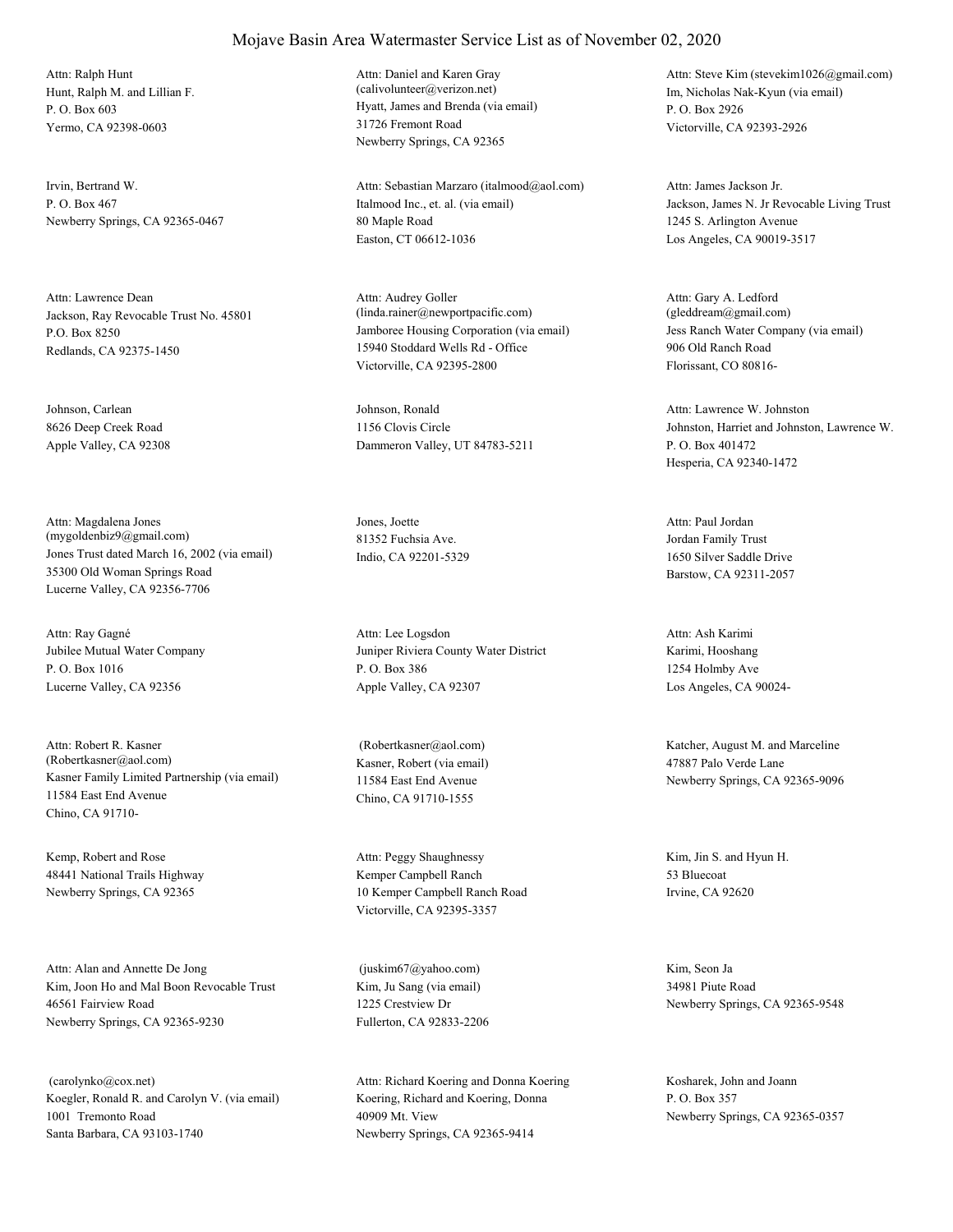Hunt, Ralph M. and Lillian F. P. O. Box 603 Yermo, CA 92398-0603 Attn: Ralph Hunt

Irvin, Bertrand W. P. O. Box 467 Newberry Springs, CA 92365-0467

Jackson, Ray Revocable Trust No. 45801 P.O. Box 8250 Redlands, CA 92375-1450 Attn: Lawrence Dean

Johnson, Carlean 8626 Deep Creek Road Apple Valley, CA 92308

Jones Trust dated March 16, 2002 (via email) 35300 Old Woman Springs Road Lucerne Valley, CA 92356-7706 Attn: Magdalena Jones (mygoldenbiz9@gmail.com)

Jubilee Mutual Water Company P. O. Box 1016 Lucerne Valley, CA 92356 Attn: Ray Gagné

Kasner Family Limited Partnership (via email) 11584 East End Avenue Chino, CA 91710- Attn: Robert R. Kasner (Robertkasner@aol.com) Kasner, Robert (via email)

Kemp, Robert and Rose 48441 National Trails Highway Newberry Springs, CA 92365

Kim, Joon Ho and Mal Boon Revocable Trust 46561 Fairview Road Newberry Springs, CA 92365-9230 Attn: Alan and Annette De Jong

Koegler, Ronald R. and Carolyn V. (via email) 1001 Tremonto Road Santa Barbara, CA 93103-1740 (carolynko@cox.net)

#### Mojave Basin Area Watermaster Service List as of November 02, 2020

Hyatt, James and Brenda (via email) 31726 Fremont Road Newberry Springs, CA 92365 Attn: Daniel and Karen Gray (calivolunteer@verizon.net) Im, Nicholas Nak-Kyun (via email)

Italmood Inc., et. al. (via email) 80 Maple Road Easton, CT 06612-1036 Attn: Sebastian Marzaro (italmood@aol.com)

Jamboree Housing Corporation (via email) 15940 Stoddard Wells Rd - Office Victorville, CA 92395-2800 Attn: Audrey Goller (linda.rainer@newportpacific.com)

Johnson, Ronald 1156 Clovis Circle Dammeron Valley, UT 84783-5211

Jones, Joette 81352 Fuchsia Ave. Indio, CA 92201-5329

Juniper Riviera County Water District P. O. Box 386 Apple Valley, CA 92307 Attn: Lee Logsdon

11584 East End Avenue Chino, CA 91710-1555

Kemper Campbell Ranch 10 Kemper Campbell Ranch Road Victorville, CA 92395-3357 Attn: Peggy Shaughnessy Kim, Jin S. and Hyun H.

Kim, Ju Sang (via email) 1225 Crestview Dr Fullerton, CA 92833-2206 (juskim67@yahoo.com) Kim, Seon Ja

Koering, Richard and Koering, Donna 40909 Mt. View Newberry Springs, CA 92365-9414 Attn: Richard Koering and Donna Koering Kosharek, John and Joann

P. O. Box 2926 Victorville, CA 92393-2926 Attn: Steve Kim (stevekim1026@gmail.com)

Jackson, James N. Jr Revocable Living Trust 1245 S. Arlington Avenue Los Angeles, CA 90019-3517 Attn: James Jackson Jr.

Jess Ranch Water Company (via email) 906 Old Ranch Road Florissant, CO 80816- Attn: Gary A. Ledford (gleddream@gmail.com)

Johnston, Harriet and Johnston, Lawrence W. P. O. Box 401472 Hesperia, CA 92340-1472 Attn: Lawrence W. Johnston

Jordan Family Trust 1650 Silver Saddle Drive Barstow, CA 92311-2057 Attn: Paul Jordan

Karimi, Hooshang 1254 Holmby Ave Los Angeles, CA 90024- Attn: Ash Karimi

 (Robertkasner@aol.com) Katcher, August M. and Marceline 47887 Palo Verde Lane Newberry Springs, CA 92365-9096

> 53 Bluecoat Irvine, CA 92620

34981 Piute Road Newberry Springs, CA 92365-9548

P. O. Box 357 Newberry Springs, CA 92365-0357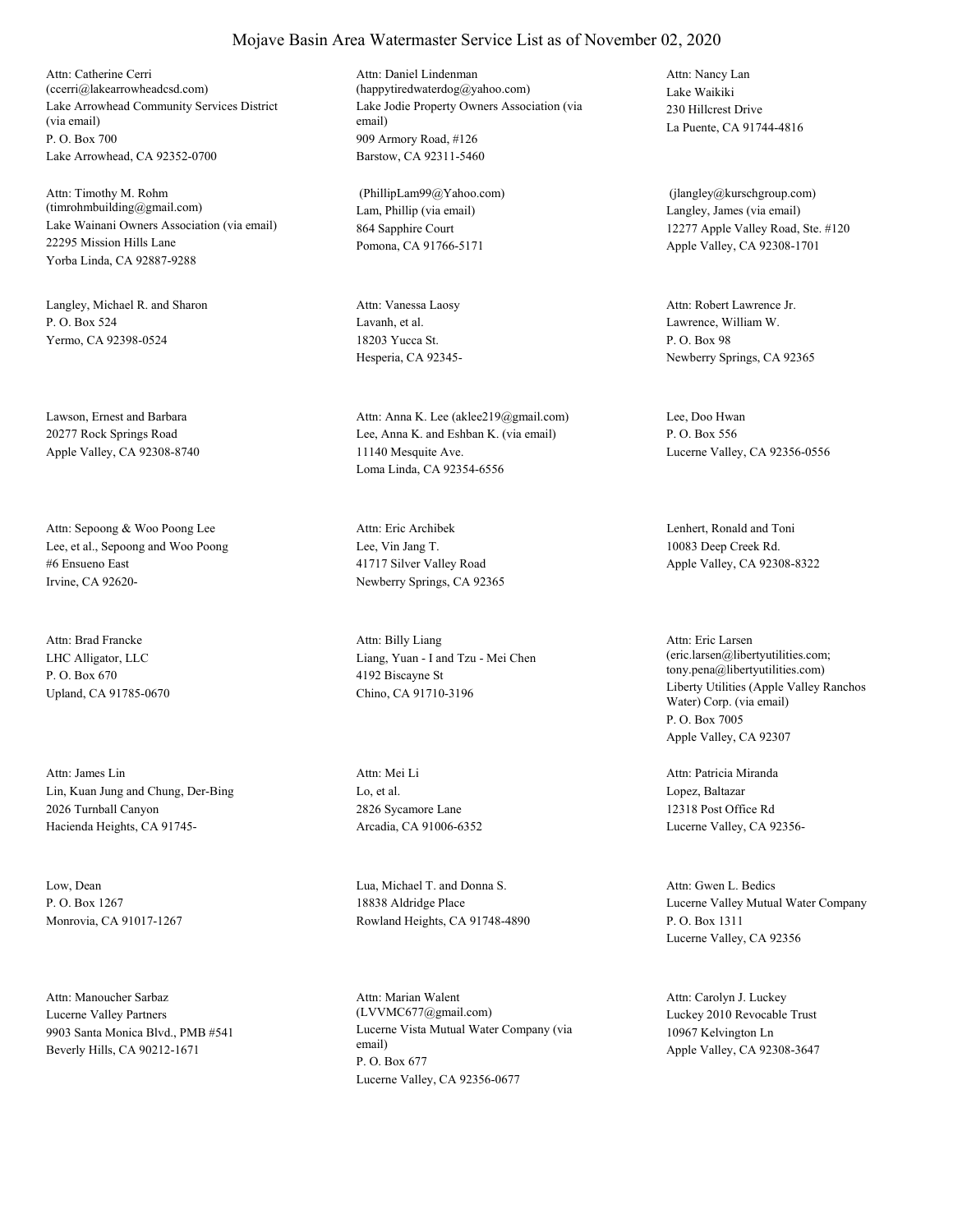Lake Arrowhead Community Services District (via email) P. O. Box 700 Lake Arrowhead, CA 92352-0700 Attn: Catherine Cerri (ccerri@lakearrowheadcsd.com)

Lake Wainani Owners Association (via email) 22295 Mission Hills Lane Yorba Linda, CA 92887-9288 Attn: Timothy M. Rohm (timrohmbuilding@gmail.com) Lam, Phillip (via email)

Langley, Michael R. and Sharon P. O. Box 524 Yermo, CA 92398-0524

Lawson, Ernest and Barbara 20277 Rock Springs Road Apple Valley, CA 92308-8740

Lee, et al., Sepoong and Woo Poong #6 Ensueno East Irvine, CA 92620- Attn: Sepoong & Woo Poong Lee

LHC Alligator, LLC P. O. Box 670 Upland, CA 91785-0670 Attn: Brad Francke

Lin, Kuan Jung and Chung, Der-Bing 2026 Turnball Canyon Hacienda Heights, CA 91745- Attn: James Lin

Low, Dean P. O. Box 1267 Monrovia, CA 91017-1267

Lucerne Valley Partners 9903 Santa Monica Blvd., PMB #541 Beverly Hills, CA 90212-1671 Attn: Manoucher Sarbaz

Lake Jodie Property Owners Association (via email) 909 Armory Road, #126 Barstow, CA 92311-5460 Attn: Daniel Lindenman (happytiredwaterdog@yahoo.com) Lake Waikiki

864 Sapphire Court Pomona, CA 91766-5171 (PhillipLam99@Yahoo.com)

Lavanh, et al. 18203 Yucca St. Hesperia, CA 92345- Attn: Vanessa Laosy

Lee, Anna K. and Eshban K. (via email) 11140 Mesquite Ave. Loma Linda, CA 92354-6556 Attn: Anna K. Lee (aklee219@gmail.com) Lee, Doo Hwan

Lee, Vin Jang T. 41717 Silver Valley Road Newberry Springs, CA 92365 Attn: Eric Archibek Lenhert, Ronald and Toni

Liang, Yuan - I and Tzu - Mei Chen 4192 Biscayne St Chino, CA 91710-3196 Attn: Billy Liang

Lo, et al. 2826 Sycamore Lane Arcadia, CA 91006-6352 Attn: Mei Li

Lua, Michael T. and Donna S. 18838 Aldridge Place Rowland Heights, CA 91748-4890

Lucerne Vista Mutual Water Company (via email) P. O. Box 677 Lucerne Valley, CA 92356-0677 Attn: Marian Walent (LVVMC677@gmail.com) Luckey 2010 Revocable Trust

230 Hillcrest Drive La Puente, CA 91744-4816 Attn: Nancy Lan

Langley, James (via email) 12277 Apple Valley Road, Ste. #120 Apple Valley, CA 92308-1701 (jlangley@kurschgroup.com)

Lawrence, William W. P. O. Box 98 Newberry Springs, CA 92365 Attn: Robert Lawrence Jr.

P. O. Box 556 Lucerne Valley, CA 92356-0556

10083 Deep Creek Rd. Apple Valley, CA 92308-8322

Liberty Utilities (Apple Valley Ranchos Water) Corp. (via email) P. O. Box 7005 Apple Valley, CA 92307 Attn: Eric Larsen (eric.larsen@libertyutilities.com; tony.pena@libertyutilities.com)

Lopez, Baltazar 12318 Post Office Rd Lucerne Valley, CA 92356- Attn: Patricia Miranda

Lucerne Valley Mutual Water Company P. O. Box 1311 Lucerne Valley, CA 92356 Attn: Gwen L. Bedics

10967 Kelvington Ln Apple Valley, CA 92308-3647 Attn: Carolyn J. Luckey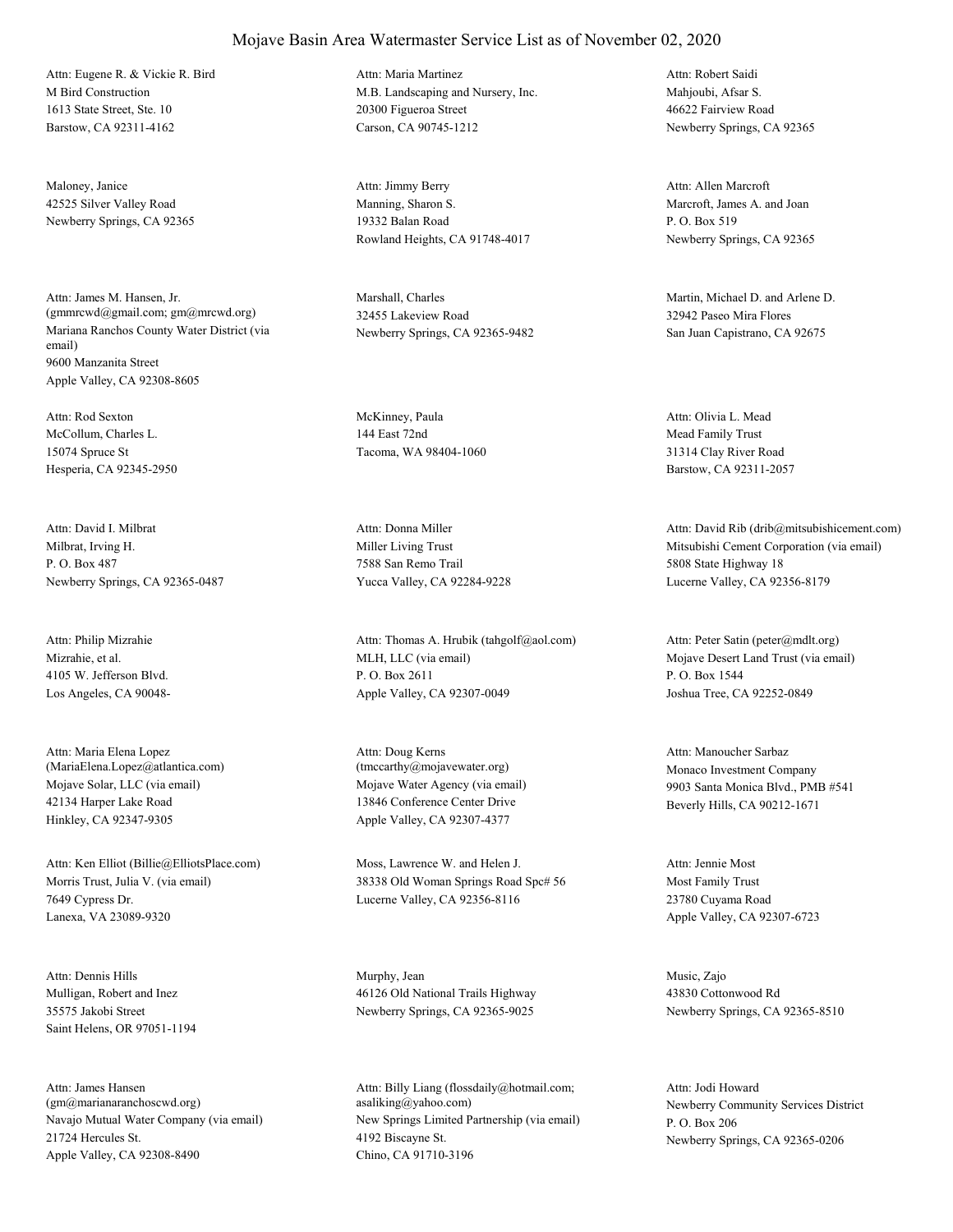M Bird Construction 1613 State Street, Ste. 10 Barstow, CA 92311-4162 Attn: Eugene R. & Vickie R. Bird

Maloney, Janice 42525 Silver Valley Road Newberry Springs, CA 92365

Mariana Ranchos County Water District (via email) 9600 Manzanita Street Apple Valley, CA 92308-8605 Attn: James M. Hansen, Jr. (gmmrcwd@gmail.com; gm@mrcwd.org)

McCollum, Charles L. 15074 Spruce St Hesperia, CA 92345-2950 Attn: Rod Sexton McKinney, Paula

Milbrat, Irving H. P. O. Box 487 Newberry Springs, CA 92365-0487 Attn: David I. Milbrat

Mizrahie, et al. 4105 W. Jefferson Blvd. Los Angeles, CA 90048- Attn: Philip Mizrahie

Mojave Solar, LLC (via email) 42134 Harper Lake Road Hinkley, CA 92347-9305 Attn: Maria Elena Lopez (MariaElena.Lopez@atlantica.com)

Morris Trust, Julia V. (via email) 7649 Cypress Dr. Lanexa, VA 23089-9320 Attn: Ken Elliot (Billie@ElliotsPlace.com) Moss, Lawrence W. and Helen J.

Mulligan, Robert and Inez 35575 Jakobi Street Saint Helens, OR 97051-1194 Attn: Dennis Hills Murphy, Jean

Navajo Mutual Water Company (via email) 21724 Hercules St. Apple Valley, CA 92308-8490 Attn: James Hansen (gm@marianaranchoscwd.org)

# Attn: Maria Martinez

Mojave Basin Area Watermaster Service List as of November 02, 2020

M.B. Landscaping and Nursery, Inc. 20300 Figueroa Street Carson, CA 90745-1212

Manning, Sharon S. 19332 Balan Road Rowland Heights, CA 91748-4017 Attn: Jimmy Berry

Marshall, Charles 32455 Lakeview Road Newberry Springs, CA 92365-9482

144 East 72nd Tacoma, WA 98404-1060

Miller Living Trust 7588 San Remo Trail Yucca Valley, CA 92284-9228 Attn: Donna Miller

MLH, LLC (via email) P. O. Box 2611 Apple Valley, CA 92307-0049 Attn: Thomas A. Hrubik (tahgolf@aol.com)

Mojave Water Agency (via email) 13846 Conference Center Drive Apple Valley, CA 92307-4377 Attn: Doug Kerns (tmccarthy@mojavewater.org) Monaco Investment Company

38338 Old Woman Springs Road Spc# 56 Lucerne Valley, CA 92356-8116

46126 Old National Trails Highway Newberry Springs, CA 92365-9025

New Springs Limited Partnership (via email) 4192 Biscayne St. Chino, CA 91710-3196 Attn: Billy Liang (flossdaily@hotmail.com; asaliking@yahoo.com) Newberry Community Services District

Mahjoubi, Afsar S. 46622 Fairview Road Newberry Springs, CA 92365 Attn: Robert Saidi

Marcroft, James A. and Joan P. O. Box 519 Newberry Springs, CA 92365 Attn: Allen Marcroft

Martin, Michael D. and Arlene D. 32942 Paseo Mira Flores San Juan Capistrano, CA 92675

Mead Family Trust 31314 Clay River Road Barstow, CA 92311-2057 Attn: Olivia L. Mead

Mitsubishi Cement Corporation (via email) 5808 State Highway 18 Lucerne Valley, CA 92356-8179 Attn: David Rib (drib@mitsubishicement.com)

Mojave Desert Land Trust (via email) P. O. Box 1544 Joshua Tree, CA 92252-0849 Attn: Peter Satin (peter@mdlt.org)

9903 Santa Monica Blvd., PMB #541 Beverly Hills, CA 90212-1671 Attn: Manoucher Sarbaz

Most Family Trust 23780 Cuyama Road Apple Valley, CA 92307-6723 Attn: Jennie Most

Music, Zajo 43830 Cottonwood Rd Newberry Springs, CA 92365-8510

P. O. Box 206 Newberry Springs, CA 92365-0206 Attn: Jodi Howard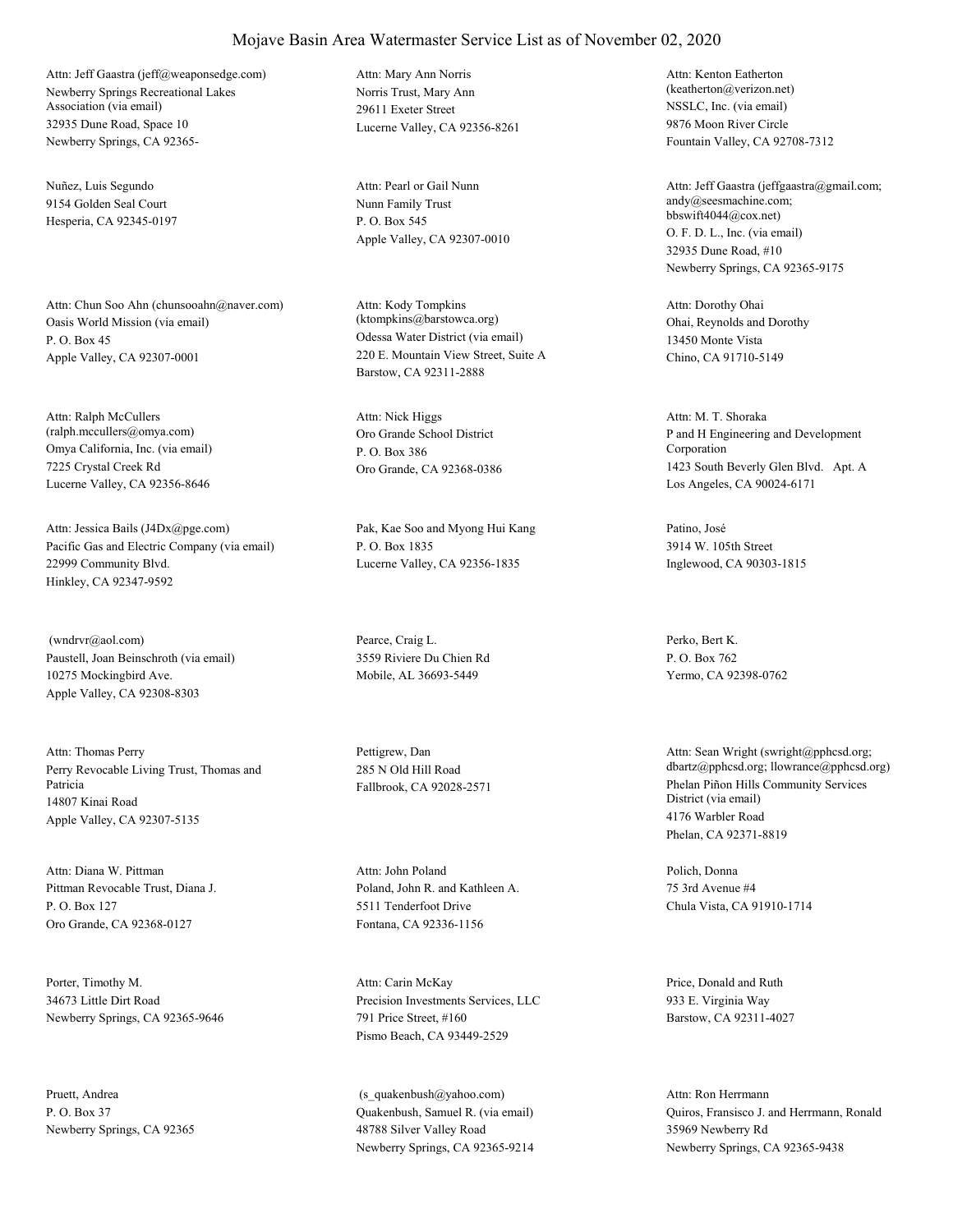Newberry Springs Recreational Lakes Association (via email) 32935 Dune Road, Space 10 Newberry Springs, CA 92365- Attn: Jeff Gaastra (jeff@weaponsedge.com)

Nuñez, Luis Segundo 9154 Golden Seal Court Hesperia, CA 92345-0197

Oasis World Mission (via email) P. O. Box 45 Apple Valley, CA 92307-0001 Attn: Chun Soo Ahn (chunsooahn@naver.com)

Omya California, Inc. (via email) 7225 Crystal Creek Rd Lucerne Valley, CA 92356-8646 Attn: Ralph McCullers (ralph.mccullers@omya.com) Oro Grande School District

Pacific Gas and Electric Company (via email) 22999 Community Blvd. Hinkley, CA 92347-9592 Attn: Jessica Bails (J4Dx@pge.com) Pak, Kae Soo and Myong Hui Kang

Paustell, Joan Beinschroth (via email) 10275 Mockingbird Ave. Apple Valley, CA 92308-8303 (wndrvr@aol.com) Pearce, Craig L.

Perry Revocable Living Trust, Thomas and Patricia 14807 Kinai Road Apple Valley, CA 92307-5135 Attn: Thomas Perry Pettigrew, Dan

Pittman Revocable Trust, Diana J. P. O. Box 127 Oro Grande, CA 92368-0127 Attn: Diana W. Pittman

Porter, Timothy M. 34673 Little Dirt Road Newberry Springs, CA 92365-9646

Pruett, Andrea P. O. Box 37 Newberry Springs, CA 92365 Norris Trust, Mary Ann 29611 Exeter Street Lucerne Valley, CA 92356-8261 Attn: Mary Ann Norris

Nunn Family Trust P. O. Box 545 Apple Valley, CA 92307-0010 Attn: Pearl or Gail Nunn

Odessa Water District (via email) 220 E. Mountain View Street, Suite A Barstow, CA 92311-2888 Attn: Kody Tompkins (ktompkins@barstowca.org) Ohai, Reynolds and Dorothy

P. O. Box 386 Oro Grande, CA 92368-0386 Attn: Nick Higgs

P. O. Box 1835 Lucerne Valley, CA 92356-1835

3559 Riviere Du Chien Rd Mobile, AL 36693-5449

285 N Old Hill Road

Poland, John R. and Kathleen A. 5511 Tenderfoot Drive Fontana, CA 92336-1156 Attn: John Poland Polich, Donna

Precision Investments Services, LLC 791 Price Street, #160 Pismo Beach, CA 93449-2529 Attn: Carin McKay Price, Donald and Ruth

Quakenbush, Samuel R. (via email) 48788 Silver Valley Road Newberry Springs, CA 92365-9214 (s\_quakenbush@yahoo.com)

NSSLC, Inc. (via email) 9876 Moon River Circle Fountain Valley, CA 92708-7312 Attn: Kenton Eatherton (keatherton@verizon.net)

O. F. D. L., Inc. (via email) 32935 Dune Road, #10 Newberry Springs, CA 92365-9175 Attn: Jeff Gaastra (jeffgaastra@gmail.com; andy@seesmachine.com; bbswift4044@cox.net)

13450 Monte Vista Chino, CA 91710-5149 Attn: Dorothy Ohai

P and H Engineering and Development Corporation 1423 South Beverly Glen Blvd. Apt. A Los Angeles, CA 90024-6171 Attn: M. T. Shoraka

Patino, José 3914 W. 105th Street Inglewood, CA 90303-1815

Perko, Bert K. P. O. Box 762 Yermo, CA 92398-0762

Fallbrook, CA 92028-2571 Phelan Piñon Hills Community Services District (via email) 4176 Warbler Road Phelan, CA 92371-8819 Attn: Sean Wright (swright@pphcsd.org; dbartz@pphcsd.org; llowrance@pphcsd.org)

> 75 3rd Avenue #4 Chula Vista, CA 91910-1714

933 E. Virginia Way Barstow, CA 92311-4027

Quiros, Fransisco J. and Herrmann, Ronald 35969 Newberry Rd Newberry Springs, CA 92365-9438 Attn: Ron Herrmann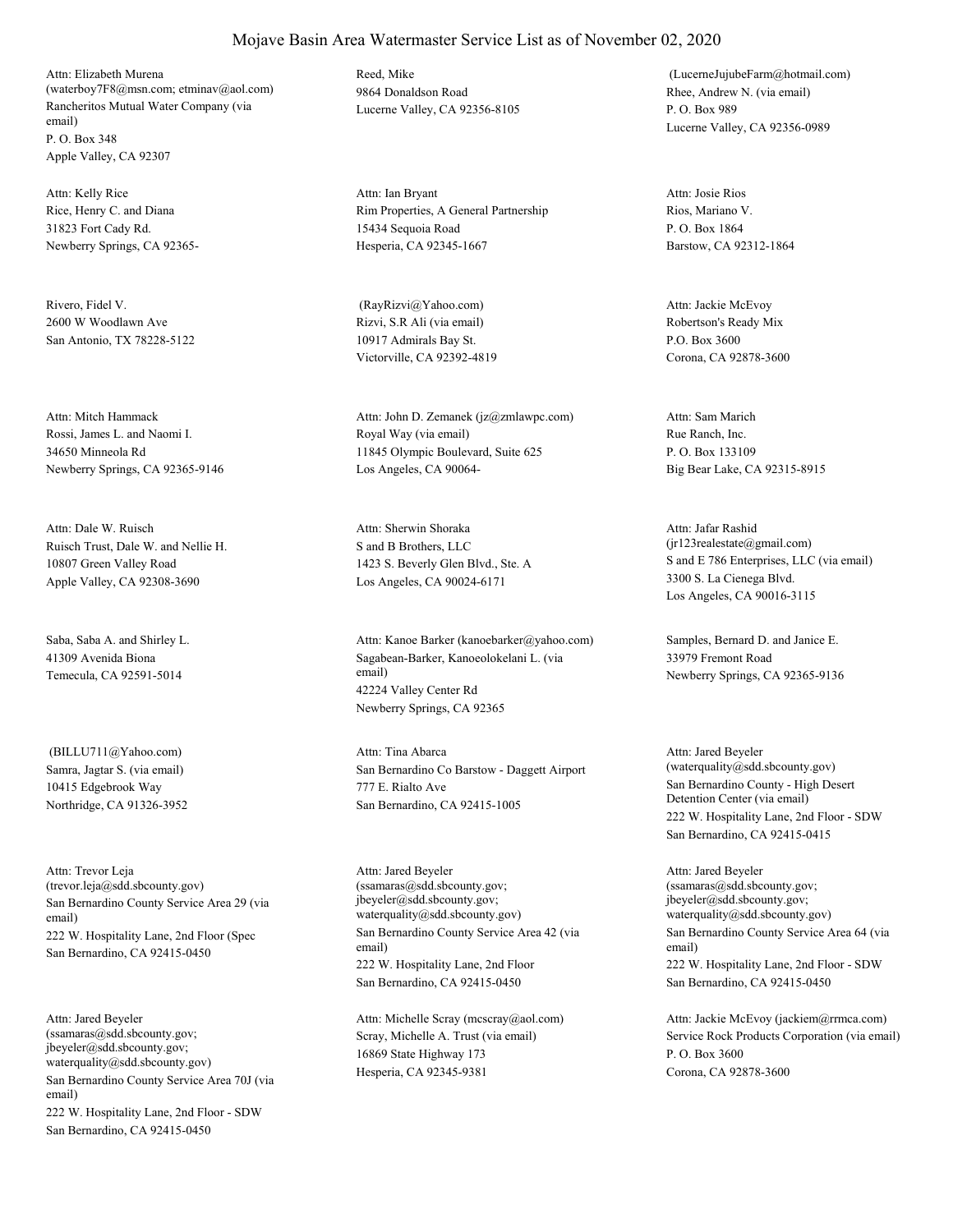Rancheritos Mutual Water Company (via email) P. O. Box 348 Apple Valley, CA 92307 Attn: Elizabeth Murena (waterboy7F8@msn.com; etminav@aol.com)

Rice, Henry C. and Diana 31823 Fort Cady Rd. Newberry Springs, CA 92365- Attn: Kelly Rice

Rivero, Fidel V. 2600 W Woodlawn Ave San Antonio, TX 78228-5122

Rossi, James L. and Naomi I. 34650 Minneola Rd Newberry Springs, CA 92365-9146 Attn: Mitch Hammack

Ruisch Trust, Dale W. and Nellie H. 10807 Green Valley Road Apple Valley, CA 92308-3690 Attn: Dale W. Ruisch

Saba, Saba A. and Shirley L. 41309 Avenida Biona Temecula, CA 92591-5014

Samra, Jagtar S. (via email) 10415 Edgebrook Way Northridge, CA 91326-3952 (BILLU711@Yahoo.com)

San Bernardino County Service Area 29 (via email) 222 W. Hospitality Lane, 2nd Floor (Spec San Bernardino, CA 92415-0450 Attn: Trevor Leja (trevor.leja@sdd.sbcounty.gov)

San Bernardino County Service Area 70J (via email) 222 W. Hospitality Lane, 2nd Floor - SDW San Bernardino, CA 92415-0450 Attn: Jared Beyeler (ssamaras@sdd.sbcounty.gov; jbeyeler@sdd.sbcounty.gov; waterquality@sdd.sbcounty.gov)

Reed, Mike 9864 Donaldson Road Lucerne Valley, CA 92356-8105

Rim Properties, A General Partnership 15434 Sequoia Road Hesperia, CA 92345-1667 Attn: Ian Bryant

Rizvi, S.R Ali (via email) 10917 Admirals Bay St. Victorville, CA 92392-4819 (RayRizvi@Yahoo.com)

Royal Way (via email) 11845 Olympic Boulevard, Suite 625 Los Angeles, CA 90064- Attn: John D. Zemanek (jz@zmlawpc.com)

S and B Brothers, LLC 1423 S. Beverly Glen Blvd., Ste. A Los Angeles, CA 90024-6171 Attn: Sherwin Shoraka

Sagabean-Barker, Kanoeolokelani L. (via email) 42224 Valley Center Rd Newberry Springs, CA 92365 Attn: Kanoe Barker (kanoebarker@yahoo.com) Samples, Bernard D. and Janice E.

San Bernardino Co Barstow - Daggett Airport 777 E. Rialto Ave San Bernardino, CA 92415-1005 Attn: Tina Abarca

San Bernardino County Service Area 42 (via email) 222 W. Hospitality Lane, 2nd Floor San Bernardino, CA 92415-0450 Attn: Jared Beyeler (ssamaras@sdd.sbcounty.gov; jbeyeler@sdd.sbcounty.gov; waterquality@sdd.sbcounty.gov)

Scray, Michelle A. Trust (via email) 16869 State Highway 173 Hesperia, CA 92345-9381 Attn: Michelle Scray (mcscray@aol.com)

Rhee, Andrew N. (via email) P. O. Box 989 Lucerne Valley, CA 92356-0989 (LucerneJujubeFarm@hotmail.com)

Rios, Mariano V. P. O. Box 1864 Barstow, CA 92312-1864 Attn: Josie Rios

Robertson's Ready Mix P.O. Box 3600 Corona, CA 92878-3600 Attn: Jackie McEvoy

Rue Ranch, Inc. P. O. Box 133109 Big Bear Lake, CA 92315-8915 Attn: Sam Marich

S and E 786 Enterprises, LLC (via email) 3300 S. La Cienega Blvd. Los Angeles, CA 90016-3115 Attn: Jafar Rashid (jr123realestate@gmail.com)

33979 Fremont Road Newberry Springs, CA 92365-9136

San Bernardino County - High Desert Detention Center (via email) 222 W. Hospitality Lane, 2nd Floor - SDW San Bernardino, CA 92415-0415 Attn: Jared Beyeler (waterquality@sdd.sbcounty.gov)

San Bernardino County Service Area 64 (via email) 222 W. Hospitality Lane, 2nd Floor - SDW San Bernardino, CA 92415-0450 Attn: Jared Beyeler (ssamaras@sdd.sbcounty.gov; jbeyeler@sdd.sbcounty.gov; waterquality@sdd.sbcounty.gov)

Service Rock Products Corporation (via email) P. O. Box 3600 Corona, CA 92878-3600 Attn: Jackie McEvoy (jackiem@rrmca.com)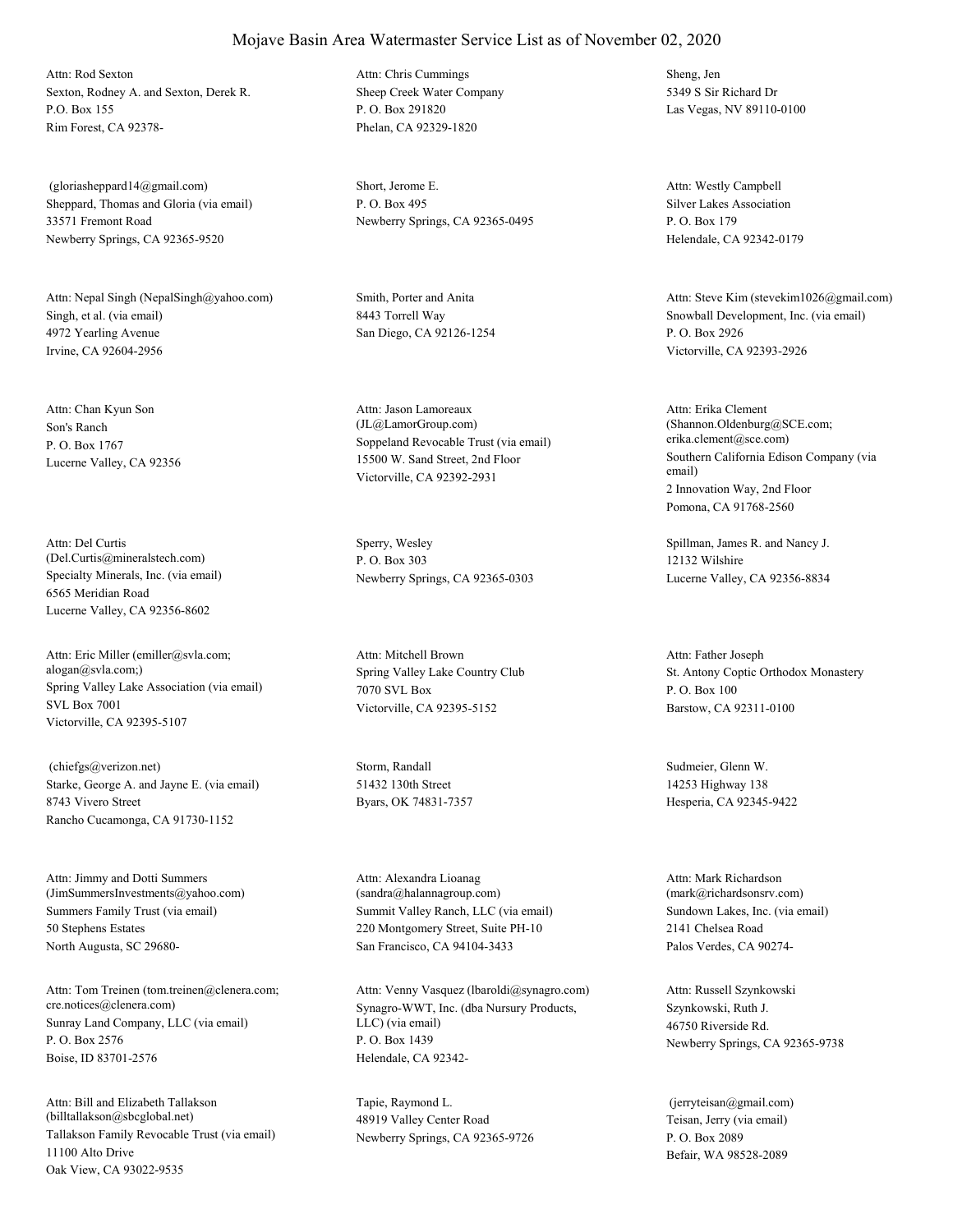Sexton, Rodney A. and Sexton, Derek R. P.O. Box 155 Rim Forest, CA 92378- Attn: Rod Sexton

Sheppard, Thomas and Gloria (via email) 33571 Fremont Road Newberry Springs, CA 92365-9520 (gloriasheppard14@gmail.com) Short, Jerome E.

Singh, et al. (via email) 4972 Yearling Avenue Irvine, CA 92604-2956 Attn: Nepal Singh (NepalSingh@yahoo.com) Smith, Porter and Anita

Son's Ranch P. O. Box 1767 Lucerne Valley, CA 92356 Attn: Chan Kyun Son

Specialty Minerals, Inc. (via email) 6565 Meridian Road Lucerne Valley, CA 92356-8602 Attn: Del Curtis (Del.Curtis@mineralstech.com)

Spring Valley Lake Association (via email) SVL Box 7001 Victorville, CA 92395-5107 Attn: Eric Miller (emiller@svla.com; alogan@svla.com;) Spring Valley Lake Country Club

Starke, George A. and Jayne E. (via email) 8743 Vivero Street Rancho Cucamonga, CA 91730-1152 (chiefgs@verizon.net) Storm, Randall

Summers Family Trust (via email) 50 Stephens Estates North Augusta, SC 29680- Attn: Jimmy and Dotti Summers (JimSummersInvestments@yahoo.com)

Sunray Land Company, LLC (via email) P. O. Box 2576 Boise, ID 83701-2576 Attn: Tom Treinen (tom.treinen@clenera.com; cre.notices@clenera.com) Synagro-WWT, Inc. (dba Nursury Products,

Tallakson Family Revocable Trust (via email) 11100 Alto Drive Oak View, CA 93022-9535 Attn: Bill and Elizabeth Tallakson (billtallakson@sbcglobal.net)

Sheep Creek Water Company P. O. Box 291820 Phelan, CA 92329-1820 Attn: Chris Cummings Sheng, Jen

P. O. Box 495 Newberry Springs, CA 92365-0495

8443 Torrell Way San Diego, CA 92126-1254

Soppeland Revocable Trust (via email) 15500 W. Sand Street, 2nd Floor Victorville, CA 92392-2931 Attn: Jason Lamoreaux (JL@LamorGroup.com)

Sperry, Wesley P. O. Box 303 Newberry Springs, CA 92365-0303

7070 SVL Box Victorville, CA 92395-5152 Attn: Mitchell Brown

51432 130th Street Byars, OK 74831-7357

Summit Valley Ranch, LLC (via email) 220 Montgomery Street, Suite PH-10 San Francisco, CA 94104-3433 Attn: Alexandra Lioanag (sandra@halannagroup.com)

LLC) (via email) P. O. Box 1439 Helendale, CA 92342- Attn: Venny Vasquez (lbaroldi@synagro.com)

Tapie, Raymond L. 48919 Valley Center Road Newberry Springs, CA 92365-9726 5349 S Sir Richard Dr Las Vegas, NV 89110-0100

Silver Lakes Association P. O. Box 179 Helendale, CA 92342-0179 Attn: Westly Campbell

Snowball Development, Inc. (via email) P. O. Box 2926 Victorville, CA 92393-2926 Attn: Steve Kim (stevekim1026@gmail.com)

Southern California Edison Company (via email) 2 Innovation Way, 2nd Floor Pomona, CA 91768-2560 Attn: Erika Clement (Shannon.Oldenburg@SCE.com; erika.clement@sce.com)

Spillman, James R. and Nancy J. 12132 Wilshire Lucerne Valley, CA 92356-8834

St. Antony Coptic Orthodox Monastery P. O. Box 100 Barstow, CA 92311-0100 Attn: Father Joseph

Sudmeier, Glenn W. 14253 Highway 138 Hesperia, CA 92345-9422

Sundown Lakes, Inc. (via email) 2141 Chelsea Road Palos Verdes, CA 90274- Attn: Mark Richardson (mark@richardsonsrv.com)

Szynkowski, Ruth J. 46750 Riverside Rd. Newberry Springs, CA 92365-9738 Attn: Russell Szynkowski

Teisan, Jerry (via email) P. O. Box 2089 Befair, WA 98528-2089 (jerryteisan@gmail.com)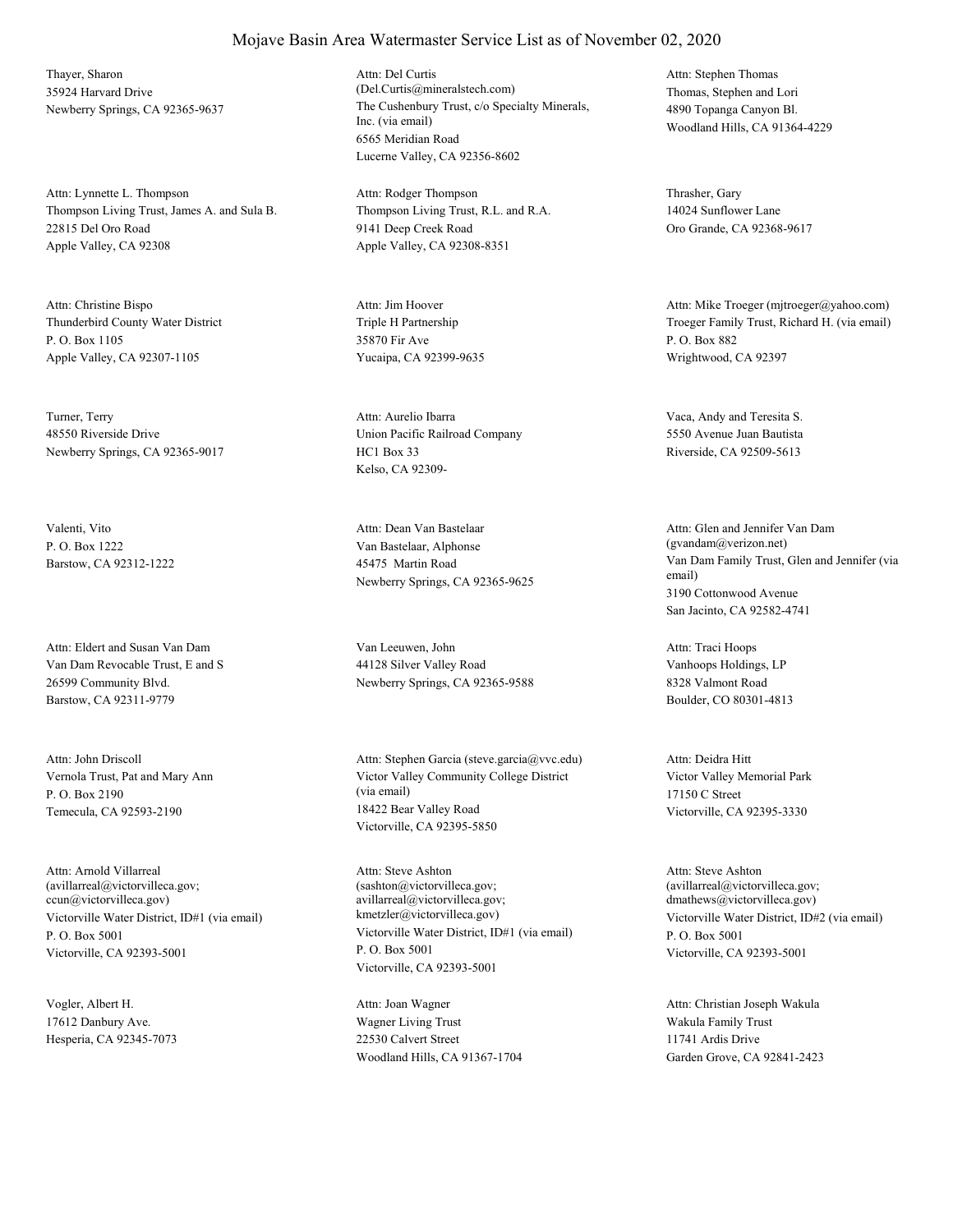Thayer, Sharon 35924 Harvard Drive

Thompson Living Trust, James A. and Sula B. 22815 Del Oro Road Apple Valley, CA 92308 Attn: Lynnette L. Thompson

Thunderbird County Water District P. O. Box 1105 Apple Valley, CA 92307-1105 Attn: Christine Bispo

Turner, Terry 48550 Riverside Drive Newberry Springs, CA 92365-9017

Valenti, Vito P. O. Box 1222 Barstow, CA 92312-1222

Van Dam Revocable Trust, E and S 26599 Community Blvd. Barstow, CA 92311-9779 Attn: Eldert and Susan Van Dam Van Leeuwen, John

Vernola Trust, Pat and Mary Ann P. O. Box 2190 Temecula, CA 92593-2190 Attn: John Driscoll

Victorville Water District, ID#1 (via email) P. O. Box 5001 Victorville, CA 92393-5001 Attn: Arnold Villarreal (avillarreal@victorvilleca.gov; ccun@victorvilleca.gov)

Vogler, Albert H. 17612 Danbury Ave. Hesperia, CA 92345-7073

Newberry Springs, CA 92365-9637 The Cushenbury Trust, c/o Specialty Minerals, Inc. (via email) 6565 Meridian Road Lucerne Valley, CA 92356-8602 Attn: Del Curtis (Del.Curtis@mineralstech.com) Thomas, Stephen and Lori

> Thompson Living Trust, R.L. and R.A. 9141 Deep Creek Road Apple Valley, CA 92308-8351 Attn: Rodger Thompson Thrasher, Gary

Triple H Partnership 35870 Fir Ave Yucaipa, CA 92399-9635 Attn: Jim Hoover

Union Pacific Railroad Company HC1 Box 33 Kelso, CA 92309- Attn: Aurelio Ibarra Vaca, Andy and Teresita S.

Van Bastelaar, Alphonse 45475 Martin Road Newberry Springs, CA 92365-9625 Attn: Dean Van Bastelaar

44128 Silver Valley Road Newberry Springs, CA 92365-9588

Victor Valley Community College District (via email) 18422 Bear Valley Road Victorville, CA 92395-5850 Attn: Stephen Garcia (steve.garcia@vvc.edu)

Victorville Water District, ID#1 (via email) P. O. Box 5001 Victorville, CA 92393-5001 Attn: Steve Ashton (sashton@victorvilleca.gov; avillarreal@victorvilleca.gov;

Wagner Living Trust 22530 Calvert Street Woodland Hills, CA 91367-1704 Attn: Joan Wagner

4890 Topanga Canyon Bl. Woodland Hills, CA 91364-4229 Attn: Stephen Thomas

14024 Sunflower Lane Oro Grande, CA 92368-9617

Troeger Family Trust, Richard H. (via email) P. O. Box 882 Wrightwood, CA 92397 Attn: Mike Troeger (mjtroeger@yahoo.com)

5550 Avenue Juan Bautista Riverside, CA 92509-5613

Van Dam Family Trust, Glen and Jennifer (via email) 3190 Cottonwood Avenue San Jacinto, CA 92582-4741 Attn: Glen and Jennifer Van Dam (gvandam@verizon.net)

Vanhoops Holdings, LP 8328 Valmont Road Boulder, CO 80301-4813 Attn: Traci Hoops

Victor Valley Memorial Park 17150 C Street Victorville, CA 92395-3330 Attn: Deidra Hitt

kmetzler@victorvilleca.gov) Victorville Water District, ID#2 (via email) P. O. Box 5001 Victorville, CA 92393-5001 Attn: Steve Ashton (avillarreal@victorvilleca.gov; dmathews@victorvilleca.gov)

> Wakula Family Trust 11741 Ardis Drive Garden Grove, CA 92841-2423 Attn: Christian Joseph Wakula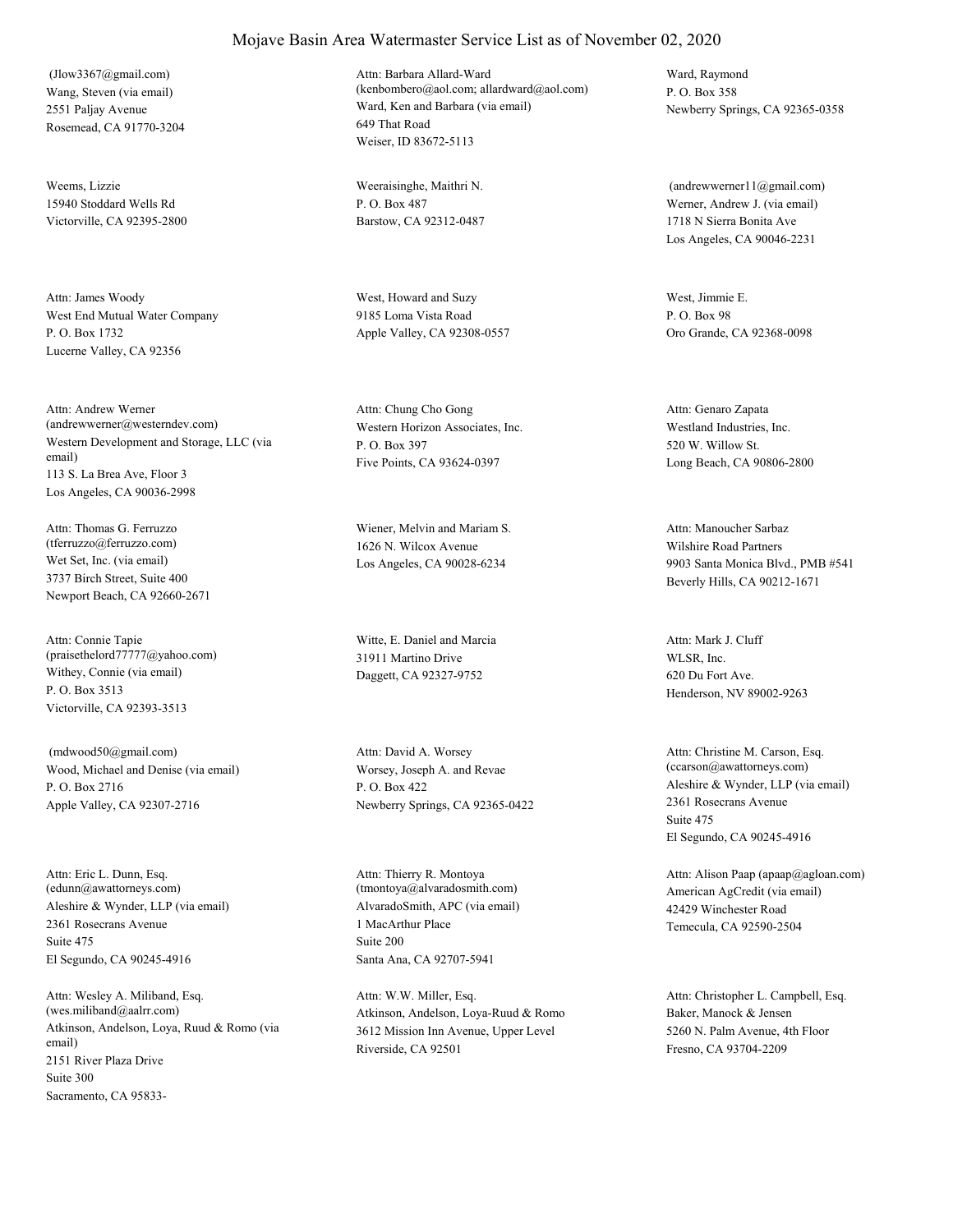Wang, Steven (via email) 2551 Paljay Avenue Rosemead, CA 91770-3204 (Jlow3367@gmail.com)

Weems, Lizzie 15940 Stoddard Wells Rd Victorville, CA 92395-2800

West End Mutual Water Company P. O. Box 1732 Lucerne Valley, CA 92356 Attn: James Woody West, Howard and Suzy

Western Development and Storage, LLC (via email) 113 S. La Brea Ave, Floor 3 Los Angeles, CA 90036-2998 Attn: Andrew Werner (andrewwerner@westerndev.com) Western Horizon Associates, Inc.

Wet Set, Inc. (via email) 3737 Birch Street, Suite 400 Newport Beach, CA 92660-2671 Attn: Thomas G. Ferruzzo (tferruzzo@ferruzzo.com)

Withey, Connie (via email) P. O. Box 3513 Victorville, CA 92393-3513 Attn: Connie Tapie (praisethelord77777@yahoo.com)

Wood, Michael and Denise (via email) P. O. Box 2716 Apple Valley, CA 92307-2716 (mdwood50@gmail.com)

Aleshire & Wynder, LLP (via email) 2361 Rosecrans Avenue El Segundo, CA 90245-4916 Attn: Eric L. Dunn, Esq.  $(\verb"edunn@awattorneys.com)$ Suite 475

Atkinson, Andelson, Loya, Ruud & Romo (via email) 2151 River Plaza Drive Sacramento, CA 95833- Attn: Wesley A. Miliband, Esq. (wes.miliband@aalrr.com) Suite 300

## Mojave Basin Area Watermaster Service List as of November 02, 2020

Ward, Ken and Barbara (via email) 649 That Road Weiser, ID 83672-5113 Attn: Barbara Allard-Ward (kenbombero@aol.com; allardward@aol.com)

Weeraisinghe, Maithri N. P. O. Box 487 Barstow, CA 92312-0487

9185 Loma Vista Road Apple Valley, CA 92308-0557

P. O. Box 397 Five Points, CA 93624-0397 Attn: Chung Cho Gong

Wiener, Melvin and Mariam S. 1626 N. Wilcox Avenue Los Angeles, CA 90028-6234

Witte, E. Daniel and Marcia 31911 Martino Drive Daggett, CA 92327-9752

Worsey, Joseph A. and Revae P. O. Box 422 Newberry Springs, CA 92365-0422 Attn: David A. Worsey

AlvaradoSmith, APC (via email) 1 MacArthur Place Santa Ana, CA 92707-5941 Attn: Thierry R. Montoya (tmontoya@alvaradosmith.com) Suite 200

Atkinson, Andelson, Loya-Ruud & Romo 3612 Mission Inn Avenue, Upper Level Riverside, CA 92501 Attn: W.W. Miller, Esq.

Ward, Raymond P. O. Box 358 Newberry Springs, CA 92365-0358

Werner, Andrew J. (via email) 1718 N Sierra Bonita Ave Los Angeles, CA 90046-2231 (andrewwerner11@gmail.com)

West, Jimmie E. P. O. Box 98 Oro Grande, CA 92368-0098

Westland Industries, Inc. 520 W. Willow St. Long Beach, CA 90806-2800 Attn: Genaro Zapata

Wilshire Road Partners 9903 Santa Monica Blvd., PMB #541 Beverly Hills, CA 90212-1671 Attn: Manoucher Sarbaz

WLSR, Inc. 620 Du Fort Ave. Henderson, NV 89002-9263 Attn: Mark J. Cluff

Aleshire & Wynder, LLP (via email) 2361 Rosecrans Avenue El Segundo, CA 90245-4916 Attn: Christine M. Carson, Esq. (ccarson@awattorneys.com) Suite 475

American AgCredit (via email) 42429 Winchester Road Temecula, CA 92590-2504 Attn: Alison Paap (apaap@agloan.com)

Baker, Manock & Jensen 5260 N. Palm Avenue, 4th Floor Fresno, CA 93704-2209 Attn: Christopher L. Campbell, Esq.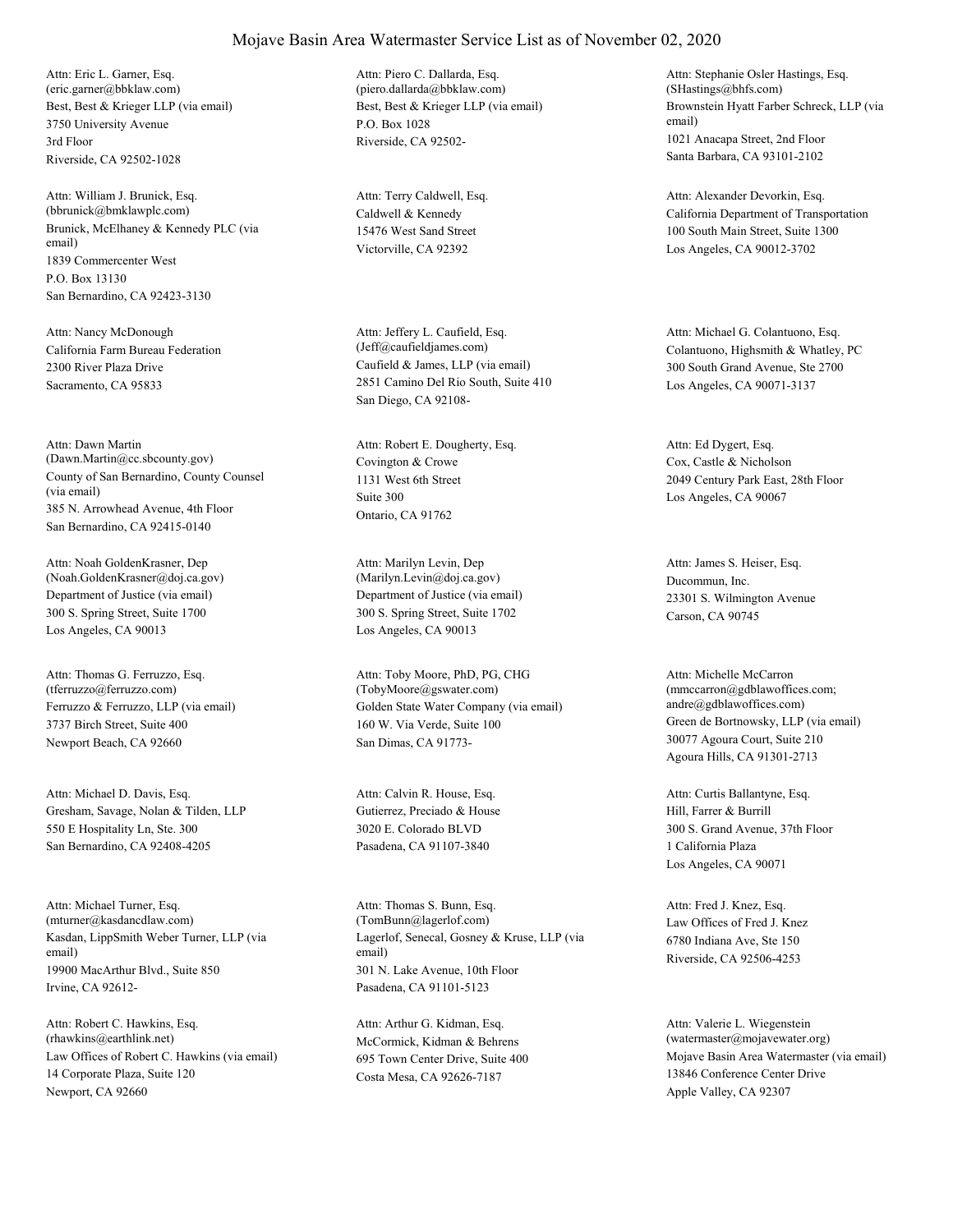Best, Best & Krieger LLP (via email) 3750 University Avenue Riverside, CA 92502-1028 Attn: Eric L. Garner, Esq. (eric.garner@bbklaw.com) 3rd Floor

Brunick, McElhaney & Kennedy PLC (via email) 1839 Commercenter West San Bernardino, CA 92423-3130 Attn: William J. Brunick, Esq. (bbrunick@bmklawplc.com) P.O. Box 13130

California Farm Bureau Federation 2300 River Plaza Drive Sacramento, CA 95833 Attn: Nancy McDonough

County of San Bernardino, County Counsel (via email) 385 N. Arrowhead Avenue, 4th Floor San Bernardino, CA 92415-0140 Attn: Dawn Martin (Dawn.Martin@cc.sbcounty.gov) Covington & Crowe

Department of Justice (via email) 300 S. Spring Street, Suite 1700 Los Angeles, CA 90013 Attn: Noah GoldenKrasner, Dep (Noah.GoldenKrasner@doj.ca.gov)

Ferruzzo & Ferruzzo, LLP (via email) 3737 Birch Street, Suite 400 Newport Beach, CA 92660 Attn: Thomas G. Ferruzzo, Esq. (tferruzzo@ferruzzo.com)

Gresham, Savage, Nolan & Tilden, LLP 550 E Hospitality Ln, Ste. 300 San Bernardino, CA 92408-4205 Attn: Michael D. Davis, Esq.

Kasdan, LippSmith Weber Turner, LLP (via email) 19900 MacArthur Blvd., Suite 850 Irvine, CA 92612- Attn: Michael Turner, Esq. (mturner@kasdancdlaw.com)

Law Offices of Robert C. Hawkins (via email) 14 Corporate Plaza, Suite 120 Newport, CA 92660 Attn: Robert C. Hawkins, Esq. (rhawkins@earthlink.net) McCormick, Kidman & Behrens

Best, Best & Krieger LLP (via email) P.O. Box 1028 Riverside, CA 92502- Attn: Piero C. Dallarda, Esq. (piero.dallarda@bbklaw.com)

Caldwell & Kennedy 15476 West Sand Street Victorville, CA 92392 Attn: Terry Caldwell, Esq.

Caufield & James, LLP (via email) 2851 Camino Del Rio South, Suite 410 San Diego, CA 92108- Attn: Jeffery L. Caufield, Esq.

1131 West 6th Street Ontario, CA 91762 Attn: Robert E. Dougherty, Esq. Suite 300

Department of Justice (via email) 300 S. Spring Street, Suite 1702 Los Angeles, CA 90013 Attn: Marilyn Levin, Dep (Marilyn.Levin@doj.ca.gov) Ducommun, Inc.

Golden State Water Company (via email) 160 W. Via Verde, Suite 100 San Dimas, CA 91773- Attn: Toby Moore, PhD, PG, CHG (TobyMoore@gswater.com)

Gutierrez, Preciado & House 3020 E. Colorado BLVD Pasadena, CA 91107-3840 Attn: Calvin R. House, Esq.

Lagerlof, Senecal, Gosney & Kruse, LLP (via email) 301 N. Lake Avenue, 10th Floor Pasadena, CA 91101-5123 Attn: Thomas S. Bunn, Esq. (TomBunn@lagerlof.com) Law Offices of Fred J. Knez

695 Town Center Drive, Suite 400 Costa Mesa, CA 92626-7187 Attn: Arthur G. Kidman, Esq.

Brownstein Hyatt Farber Schreck, LLP (via email) 1021 Anacapa Street, 2nd Floor Santa Barbara, CA 93101-2102 Attn: Stephanie Osler Hastings, Esq. (SHastings@bhfs.com)

California Department of Transportation 100 South Main Street, Suite 1300 Los Angeles, CA 90012-3702 Attn: Alexander Devorkin, Esq.

(Jeff@caufieldjames.com) Colantuono, Highsmith & Whatley, PC 300 South Grand Avenue, Ste 2700 Los Angeles, CA 90071-3137 Attn: Michael G. Colantuono, Esq.

> Cox, Castle & Nicholson 2049 Century Park East, 28th Floor Los Angeles, CA 90067 Attn: Ed Dygert, Esq.

23301 S. Wilmington Avenue Carson, CA 90745 Attn: James S. Heiser, Esq.

Green de Bortnowsky, LLP (via email) 30077 Agoura Court, Suite 210 Agoura Hills, CA 91301-2713 Attn: Michelle McCarron (mmccarron@gdblawoffices.com; andre@gdblawoffices.com)

Hill, Farrer & Burrill 300 S. Grand Avenue, 37th Floor Los Angeles, CA 90071 Attn: Curtis Ballantyne, Esq. 1 California Plaza

6780 Indiana Ave, Ste 150 Riverside, CA 92506-4253 Attn: Fred J. Knez, Esq.

Mojave Basin Area Watermaster (via email) 13846 Conference Center Drive Apple Valley, CA 92307 Attn: Valerie L. Wiegenstein (watermaster@mojavewater.org)